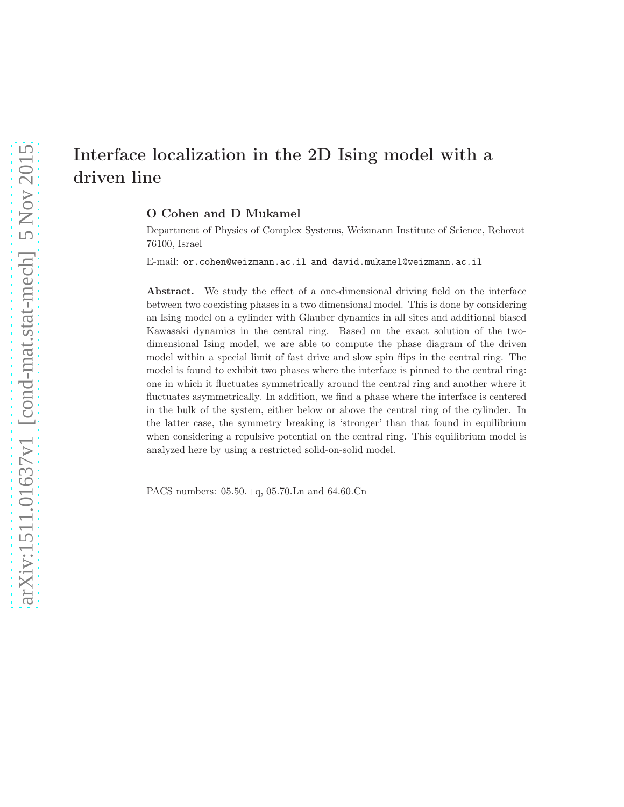# arXiv:1511.01637v1 [cond-mat.stat-mech] 5 Nov 2015 [arXiv:1511.01637v1 \[cond-mat.stat-mech\] 5 Nov 2015](http://arxiv.org/abs/1511.01637v1)

# Interface localization in the 2D Ising model with a driven line

O Cohen and D Mukamel

Department of Physics of Complex Systems, Weizmann Institute of Science, Rehovot 76100, Israel

E-mail: or.cohen@weizmann.ac.il and david.mukamel@weizmann.ac.il

Abstract. We study the effect of a one-dimensional driving field on the interface between two coexisting phases in a two dimensional model. This is done by considering an Ising model on a cylinder with Glauber dynamics in all sites and additional biased Kawasaki dynamics in the central ring. Based on the exact solution of the twodimensional Ising model, we are able to compute the phase diagram of the driven model within a special limit of fast drive and slow spin flips in the central ring. The model is found to exhibit two phases where the interface is pinned to the central ring: one in which it fluctuates symmetrically around the central ring and another where it fluctuates asymmetrically. In addition, we find a phase where the interface is centered in the bulk of the system, either below or above the central ring of the cylinder. In the latter case, the symmetry breaking is 'stronger' than that found in equilibrium when considering a repulsive potential on the central ring. This equilibrium model is analyzed here by using a restricted solid-on-solid model.

PACS numbers: 05.50.+q, 05.70.Ln and 64.60.Cn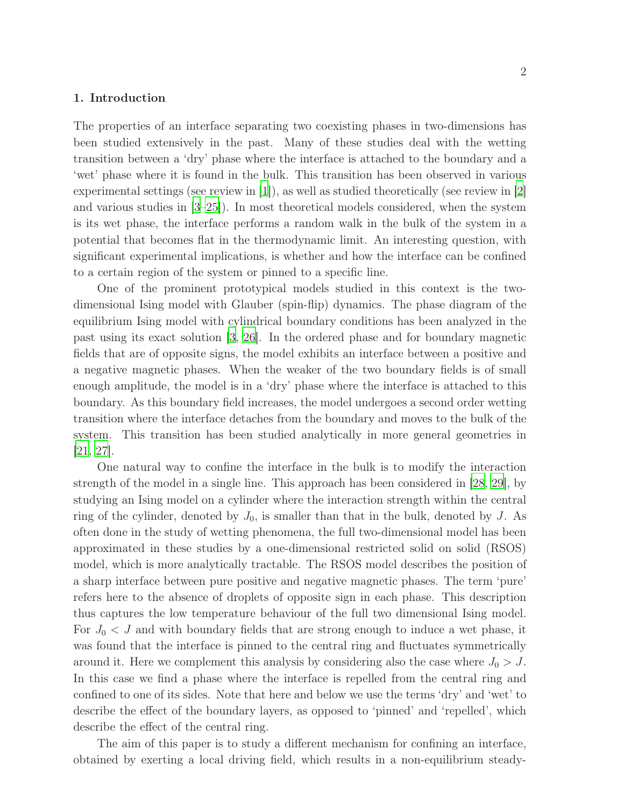### 1. Introduction

The properties of an interface separating two coexisting phases in two-dimensions has been studied extensively in the past. Many of these studies deal with the wetting transition between a 'dry' phase where the interface is attached to the boundary and a 'wet' phase where it is found in the bulk. This transition has been observed in various experimental settings (see review in [\[1](#page-26-0)]), as well as studied theoretically (see review in [\[2](#page-26-1)] and various studies in [\[3](#page-26-2)[–25](#page-27-0)]). In most theoretical models considered, when the system is its wet phase, the interface performs a random walk in the bulk of the system in a potential that becomes flat in the thermodynamic limit. An interesting question, with significant experimental implications, is whether and how the interface can be confined to a certain region of the system or pinned to a specific line.

One of the prominent prototypical models studied in this context is the twodimensional Ising model with Glauber (spin-flip) dynamics. The phase diagram of the equilibrium Ising model with cylindrical boundary conditions has been analyzed in the past using its exact solution [\[3](#page-26-2), [26\]](#page-28-0). In the ordered phase and for boundary magnetic fields that are of opposite signs, the model exhibits an interface between a positive and a negative magnetic phases. When the weaker of the two boundary fields is of small enough amplitude, the model is in a 'dry' phase where the interface is attached to this boundary. As this boundary field increases, the model undergoes a second order wetting transition where the interface detaches from the boundary and moves to the bulk of the system. This transition has been studied analytically in more general geometries in [\[21,](#page-27-1) [27\]](#page-28-1).

One natural way to confine the interface in the bulk is to modify the interaction strength of the model in a single line. This approach has been considered in [\[28,](#page-28-2) [29](#page-28-3)], by studying an Ising model on a cylinder where the interaction strength within the central ring of the cylinder, denoted by  $J_0$ , is smaller than that in the bulk, denoted by  $J$ . As often done in the study of wetting phenomena, the full two-dimensional model has been approximated in these studies by a one-dimensional restricted solid on solid (RSOS) model, which is more analytically tractable. The RSOS model describes the position of a sharp interface between pure positive and negative magnetic phases. The term 'pure' refers here to the absence of droplets of opposite sign in each phase. This description thus captures the low temperature behaviour of the full two dimensional Ising model. For  $J_0 < J$  and with boundary fields that are strong enough to induce a wet phase, it was found that the interface is pinned to the central ring and fluctuates symmetrically around it. Here we complement this analysis by considering also the case where  $J_0 > J$ . In this case we find a phase where the interface is repelled from the central ring and confined to one of its sides. Note that here and below we use the terms 'dry' and 'wet' to describe the effect of the boundary layers, as opposed to 'pinned' and 'repelled', which describe the effect of the central ring.

The aim of this paper is to study a different mechanism for confining an interface, obtained by exerting a local driving field, which results in a non-equilibrium steady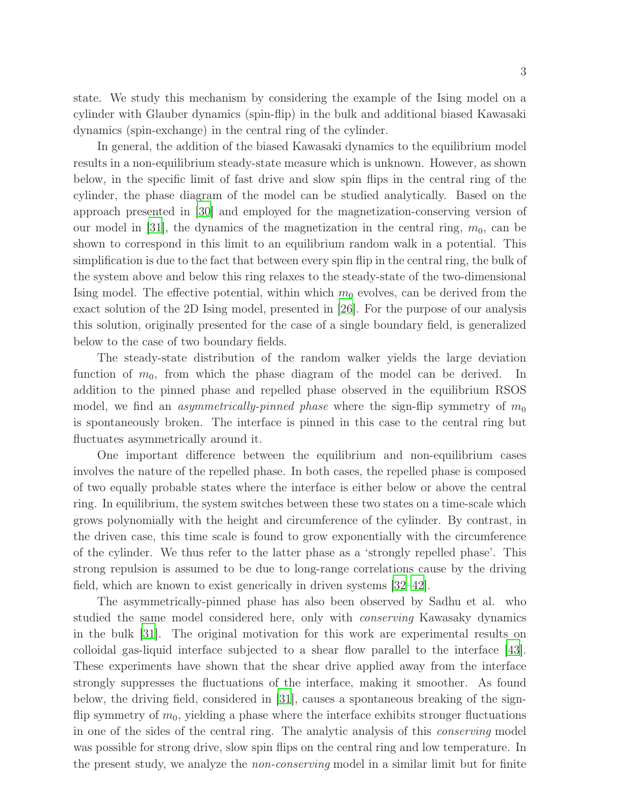state. We study this mechanism by considering the example of the Ising model on a cylinder with Glauber dynamics (spin-flip) in the bulk and additional biased Kawasaki dynamics (spin-exchange) in the central ring of the cylinder.

In general, the addition of the biased Kawasaki dynamics to the equilibrium model results in a non-equilibrium steady-state measure which is unknown. However, as shown below, in the specific limit of fast drive and slow spin flips in the central ring of the cylinder, the phase diagram of the model can be studied analytically. Based on the approach presented in [\[30\]](#page-28-4) and employed for the magnetization-conserving version of our model in  $|31|$ , the dynamics of the magnetization in the central ring,  $m_0$ , can be shown to correspond in this limit to an equilibrium random walk in a potential. This simplification is due to the fact that between every spin flip in the central ring, the bulk of the system above and below this ring relaxes to the steady-state of the two-dimensional Ising model. The effective potential, within which  $m_0$  evolves, can be derived from the exact solution of the 2D Ising model, presented in [\[26](#page-28-0)]. For the purpose of our analysis this solution, originally presented for the case of a single boundary field, is generalized below to the case of two boundary fields.

The steady-state distribution of the random walker yields the large deviation function of  $m_0$ , from which the phase diagram of the model can be derived. In addition to the pinned phase and repelled phase observed in the equilibrium RSOS model, we find an *asymmetrically-pinned phase* where the sign-flip symmetry of  $m_0$ is spontaneously broken. The interface is pinned in this case to the central ring but fluctuates asymmetrically around it.

One important difference between the equilibrium and non-equilibrium cases involves the nature of the repelled phase. In both cases, the repelled phase is composed of two equally probable states where the interface is either below or above the central ring. In equilibrium, the system switches between these two states on a time-scale which grows polynomially with the height and circumference of the cylinder. By contrast, in the driven case, this time scale is found to grow exponentially with the circumference of the cylinder. We thus refer to the latter phase as a 'strongly repelled phase'. This strong repulsion is assumed to be due to long-range correlations cause by the driving field, which are known to exist generically in driven systems [\[32](#page-28-6)[–42](#page-28-7)].

The asymmetrically-pinned phase has also been observed by Sadhu et al. who studied the same model considered here, only with conserving Kawasaky dynamics in the bulk [\[31](#page-28-5)]. The original motivation for this work are experimental results on colloidal gas-liquid interface subjected to a shear flow parallel to the interface [\[43](#page-29-0)]. These experiments have shown that the shear drive applied away from the interface strongly suppresses the fluctuations of the interface, making it smoother. As found below, the driving field, considered in [\[31\]](#page-28-5), causes a spontaneous breaking of the signflip symmetry of  $m_0$ , yielding a phase where the interface exhibits stronger fluctuations in one of the sides of the central ring. The analytic analysis of this conserving model was possible for strong drive, slow spin flips on the central ring and low temperature. In the present study, we analyze the non-conserving model in a similar limit but for finite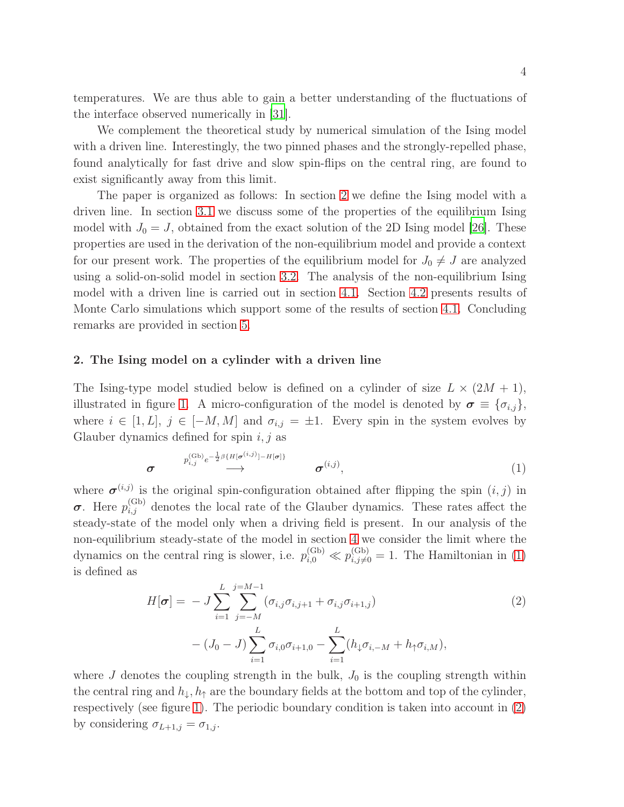temperatures. We are thus able to gain a better understanding of the fluctuations of the interface observed numerically in [\[31](#page-28-5)].

We complement the theoretical study by numerical simulation of the Ising model with a driven line. Interestingly, the two pinned phases and the strongly-repelled phase, found analytically for fast drive and slow spin-flips on the central ring, are found to exist significantly away from this limit.

The paper is organized as follows: In section [2](#page-3-0) we define the Ising model with a driven line. In section [3.1](#page-4-0) we discuss some of the properties of the equilibrium Ising model with  $J_0 = J$ , obtained from the exact solution of the 2D Ising model [\[26](#page-28-0)]. These properties are used in the derivation of the non-equilibrium model and provide a context for our present work. The properties of the equilibrium model for  $J_0 \neq J$  are analyzed using a solid-on-solid model in section [3.2.](#page-8-0) The analysis of the non-equilibrium Ising model with a driven line is carried out in section [4.1.](#page-12-0) Section [4.2](#page-17-0) presents results of Monte Carlo simulations which support some of the results of section [4.1.](#page-12-0) Concluding remarks are provided in section [5.](#page-21-0)

### <span id="page-3-0"></span>2. The Ising model on a cylinder with a driven line

The Ising-type model studied below is defined on a cylinder of size  $L \times (2M + 1)$ , illustrated in figure [1.](#page-4-1) A micro-configuration of the model is denoted by  $\sigma \equiv {\sigma_{i,j}}$ , where  $i \in [1, L], j \in [-M, M]$  and  $\sigma_{i,j} = \pm 1$ . Every spin in the system evolves by Glauber dynamics defined for spin  $i, j$  as

<span id="page-3-1"></span>
$$
\sigma \qquad \qquad p_{i,j}^{(\text{Gb})} e^{-\frac{1}{2}\beta \{H[\sigma^{(i,j)}]-H[\sigma]\}} \qquad \sigma^{(i,j)}, \qquad (1)
$$

where  $\sigma^{(i,j)}$  is the original spin-configuration obtained after flipping the spin  $(i, j)$  in  $\sigma$ . Here  $p_{i,j}^{(Gb)}$  denotes the local rate of the Glauber dynamics. These rates affect the steady-state of the model only when a driving field is present. In our analysis of the non-equilibrium steady-state of the model in section [4](#page-12-1) we consider the limit where the dynamics on the central ring is slower, i.e.  $p_{i,0}^{(Gb)} \ll p_{i,j\neq 0}^{(Gb)} = 1$ . The Hamiltonian in [\(1\)](#page-3-1) is defined as

<span id="page-3-2"></span>
$$
H[\boldsymbol{\sigma}] = -J \sum_{i=1}^{L} \sum_{j=-M}^{j=M-1} (\sigma_{i,j} \sigma_{i,j+1} + \sigma_{i,j} \sigma_{i+1,j})
$$
\n
$$
- (J_0 - J) \sum_{i=1}^{L} \sigma_{i,0} \sigma_{i+1,0} - \sum_{i=1}^{L} (h_{\downarrow} \sigma_{i,-M} + h_{\uparrow} \sigma_{i,M}),
$$
\n(2)

where J denotes the coupling strength in the bulk,  $J_0$  is the coupling strength within the central ring and  $h_{\downarrow}, h_{\uparrow}$  are the boundary fields at the bottom and top of the cylinder, respectively (see figure [1\)](#page-4-1). The periodic boundary condition is taken into account in [\(2\)](#page-3-2) by considering  $\sigma_{L+1,j} = \sigma_{1,j}$ .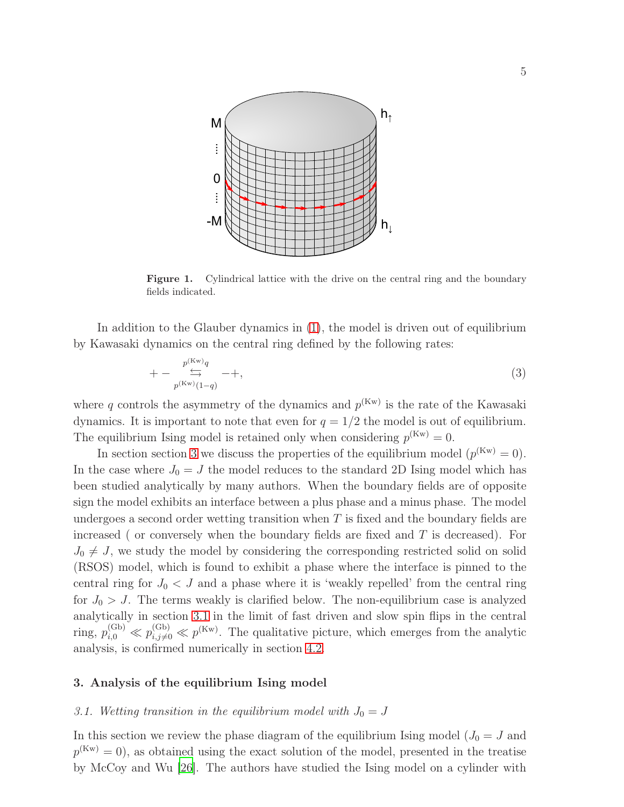

<span id="page-4-1"></span>Figure 1. Cylindrical lattice with the drive on the central ring and the boundary fields indicated.

In addition to the Glauber dynamics in [\(1\)](#page-3-1), the model is driven out of equilibrium by Kawasaki dynamics on the central ring defined by the following rates:

<span id="page-4-3"></span>
$$
+-\underset{p^{(\text{Kw})}(1-q)}{\overset{p^{(\text{Kw})}q}{\longrightarrow}}-+, \tag{3}
$$

where q controls the asymmetry of the dynamics and  $p^{(K_w)}$  is the rate of the Kawasaki dynamics. It is important to note that even for  $q = 1/2$  the model is out of equilibrium. The equilibrium Ising model is retained only when considering  $p^{(Kw)} = 0$ .

In section section [3](#page-4-2) we discuss the properties of the equilibrium model  $(p^{(Kw)} = 0)$ . In the case where  $J_0 = J$  the model reduces to the standard 2D Ising model which has been studied analytically by many authors. When the boundary fields are of opposite sign the model exhibits an interface between a plus phase and a minus phase. The model undergoes a second order wetting transition when  $T$  is fixed and the boundary fields are increased ( or conversely when the boundary fields are fixed and  $T$  is decreased). For  $J_0 \neq J$ , we study the model by considering the corresponding restricted solid on solid (RSOS) model, which is found to exhibit a phase where the interface is pinned to the central ring for  $J_0 < J$  and a phase where it is 'weakly repelled' from the central ring for  $J_0 > J$ . The terms weakly is clarified below. The non-equilibrium case is analyzed analytically in section [3.1](#page-4-0) in the limit of fast driven and slow spin flips in the central ring,  $p_{i,0}^{(Gb)} \ll p_{i,j\neq 0}^{(Gb)} \ll p^{(Kw)}$ . The qualitative picture, which emerges from the analytic analysis, is confirmed numerically in section [4.2.](#page-17-0)

### <span id="page-4-2"></span><span id="page-4-0"></span>3. Analysis of the equilibrium Ising model

### 3.1. Wetting transition in the equilibrium model with  $J_0 = J$

In this section we review the phase diagram of the equilibrium Ising model ( $J_0 = J$  and  $p^{(Kw)} = 0$ , as obtained using the exact solution of the model, presented in the treatise by McCoy and Wu [\[26\]](#page-28-0). The authors have studied the Ising model on a cylinder with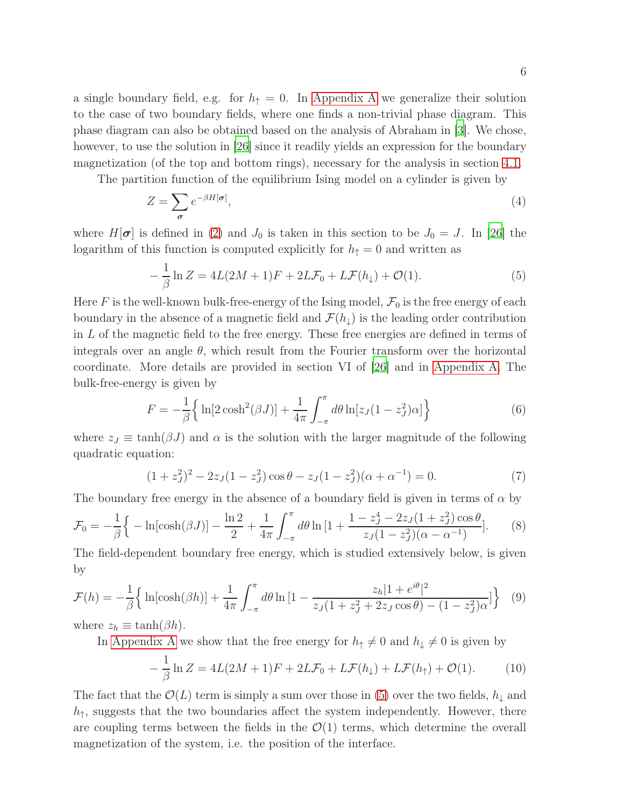a single boundary field, e.g. for  $h_{\uparrow} = 0$ . In [Appendix A](#page-22-0) we generalize their solution to the case of two boundary fields, where one finds a non-trivial phase diagram. This phase diagram can also be obtained based on the analysis of Abraham in [\[3](#page-26-2)]. We chose, however, to use the solution in [\[26\]](#page-28-0) since it readily yields an expression for the boundary magnetization (of the top and bottom rings), necessary for the analysis in section [4.1.](#page-12-0)

The partition function of the equilibrium Ising model on a cylinder is given by

$$
Z = \sum_{\sigma} e^{-\beta H[\sigma]},\tag{4}
$$

where  $H[\sigma]$  is defined in [\(2\)](#page-3-2) and  $J_0$  is taken in this section to be  $J_0 = J$ . In [\[26\]](#page-28-0) the logarithm of this function is computed explicitly for  $h_{\uparrow} = 0$  and written as

<span id="page-5-0"></span>
$$
-\frac{1}{\beta}\ln Z = 4L(2M+1)F + 2L\mathcal{F}_0 + L\mathcal{F}(h_\downarrow) + \mathcal{O}(1). \tag{5}
$$

Here F is the well-known bulk-free-energy of the Ising model,  $\mathcal{F}_0$  is the free energy of each boundary in the absence of a magnetic field and  $\mathcal{F}(h_{\downarrow})$  is the leading order contribution in L of the magnetic field to the free energy. These free energies are defined in terms of integrals over an angle  $\theta$ , which result from the Fourier transform over the horizontal coordinate. More details are provided in section VI of [\[26](#page-28-0)] and in [Appendix A.](#page-22-0) The bulk-free-energy is given by

<span id="page-5-2"></span>
$$
F = -\frac{1}{\beta} \left\{ \ln[2 \cosh^2(\beta J)] + \frac{1}{4\pi} \int_{-\pi}^{\pi} d\theta \ln[z_J(1 - z_J^2)\alpha] \right\}
$$
(6)

where  $z_J \equiv \tanh(\beta J)$  and  $\alpha$  is the solution with the larger magnitude of the following quadratic equation:

<span id="page-5-3"></span>
$$
(1 + zJ2)2 - 2zJ(1 - zJ2)\cos\theta - zJ(1 - zJ2)(\alpha + \alpha-1) = 0.
$$
 (7)

The boundary free energy in the absence of a boundary field is given in terms of  $\alpha$  by

$$
\mathcal{F}_0 = -\frac{1}{\beta} \Big\{ -\ln[\cosh(\beta J)] - \frac{\ln 2}{2} + \frac{1}{4\pi} \int_{-\pi}^{\pi} d\theta \ln\left[1 + \frac{1 - z_J^4 - 2z_J(1 + z_J^2)\cos\theta}{z_J(1 - z_J^2)(\alpha - \alpha^{-1})}\right].
$$
 (8)

The field-dependent boundary free energy, which is studied extensively below, is given by

$$
\mathcal{F}(h) = -\frac{1}{\beta} \left\{ \ln[\cosh(\beta h)] + \frac{1}{4\pi} \int_{-\pi}^{\pi} d\theta \ln\left[1 - \frac{z_h |1 + e^{i\theta}|^2}{z_J (1 + z_J^2 + 2z_J \cos \theta) - (1 - z_J^2)\alpha} \right] \right\}
$$
(9)

where  $z_h \equiv \tanh(\beta h)$ .

In [Appendix A](#page-22-0) we show that the free energy for  $h_{\uparrow} \neq 0$  and  $h_{\downarrow} \neq 0$  is given by

<span id="page-5-1"></span>
$$
-\frac{1}{\beta}\ln Z = 4L(2M+1)F + 2L\mathcal{F}_0 + L\mathcal{F}(h_\downarrow) + L\mathcal{F}(h_\uparrow) + \mathcal{O}(1). \tag{10}
$$

The fact that the  $\mathcal{O}(L)$  term is simply a sum over those in [\(5\)](#page-5-0) over the two fields,  $h_{\downarrow}$  and  $h_{\uparrow}$ , suggests that the two boundaries affect the system independently. However, there are coupling terms between the fields in the  $\mathcal{O}(1)$  terms, which determine the overall magnetization of the system, i.e. the position of the interface.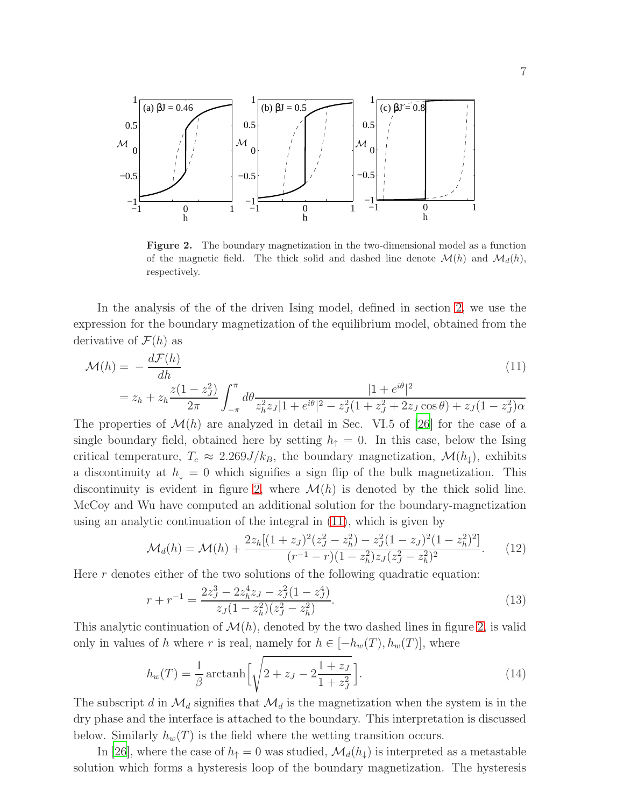

<span id="page-6-0"></span>Figure 2. The boundary magnetization in the two-dimensional model as a function of the magnetic field. The thick solid and dashed line denote  $\mathcal{M}(h)$  and  $\mathcal{M}_d(h)$ , respectively.

In the analysis of the of the driven Ising model, defined in section [2,](#page-3-0) we use the expression for the boundary magnetization of the equilibrium model, obtained from the derivative of  $\mathcal{F}(h)$  as

<span id="page-6-1"></span>
$$
\mathcal{M}(h) = -\frac{d\mathcal{F}(h)}{dh}
$$
\n
$$
= z_h + z_h \frac{z(1 - z_J^2)}{2\pi} \int_{-\pi}^{\pi} d\theta \frac{|1 + e^{i\theta}|^2}{z_h^2 z_J |1 + e^{i\theta}|^2 - z_J^2 (1 + z_J^2 + 2z_J \cos \theta) + z_J (1 - z_J^2)\alpha}
$$
\n(11)

The properties of  $\mathcal{M}(h)$  are analyzed in detail in Sec. VI.5 of [\[26\]](#page-28-0) for the case of a single boundary field, obtained here by setting  $h_{\uparrow} = 0$ . In this case, below the Ising critical temperature,  $T_c \approx 2.269J/k_B$ , the boundary magnetization,  $\mathcal{M}(h_{\downarrow})$ , exhibits a discontinuity at  $h_{\downarrow} = 0$  which signifies a sign flip of the bulk magnetization. This discontinuity is evident in figure [2,](#page-6-0) where  $\mathcal{M}(h)$  is denoted by the thick solid line. McCoy and Wu have computed an additional solution for the boundary-magnetization using an analytic continuation of the integral in [\(11\)](#page-6-1), which is given by

$$
\mathcal{M}_d(h) = \mathcal{M}(h) + \frac{2z_h[(1+z_J)^2(z_J^2 - z_h^2) - z_J^2(1-z_J)^2(1-z_h^2)^2]}{(r^{-1} - r)(1-z_h^2)z_J(z_J^2 - z_h^2)^2}.
$$
 (12)

Here  $r$  denotes either of the two solutions of the following quadratic equation:

$$
r + r^{-1} = \frac{2z_J^3 - 2z_h^4 z_J - z_J^2(1 - z_J^4)}{z_J(1 - z_h^2)(z_J^2 - z_h^2)}.
$$
\n(13)

This analytic continuation of  $\mathcal{M}(h)$ , denoted by the two dashed lines in figure [2,](#page-6-0) is valid only in values of h where r is real, namely for  $h \in [-h_w(T), h_w(T)]$ , where

<span id="page-6-2"></span>
$$
h_w(T) = \frac{1}{\beta} \operatorname{arctanh}\left[\sqrt{2 + z_J - 2\frac{1+z_J}{1+z_J^2}}\right].\tag{14}
$$

The subscript d in  $\mathcal{M}_d$  signifies that  $\mathcal{M}_d$  is the magnetization when the system is in the dry phase and the interface is attached to the boundary. This interpretation is discussed below. Similarly  $h_w(T)$  is the field where the wetting transition occurs.

In [\[26](#page-28-0)], where the case of  $h_{\uparrow}=0$  was studied,  $\mathcal{M}_d(h_{\downarrow})$  is interpreted as a metastable solution which forms a hysteresis loop of the boundary magnetization. The hysteresis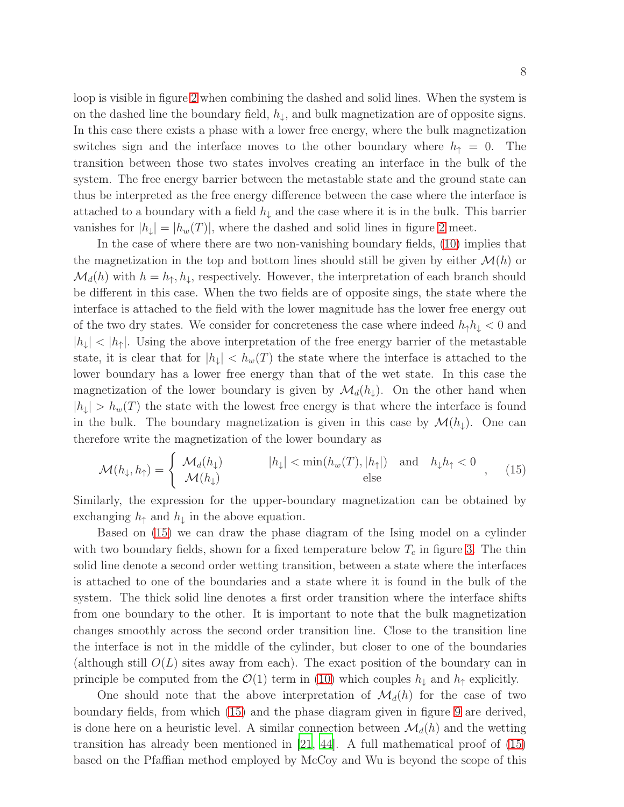loop is visible in figure [2](#page-6-0) when combining the dashed and solid lines. When the system is on the dashed line the boundary field,  $h_{\downarrow}$ , and bulk magnetization are of opposite signs. In this case there exists a phase with a lower free energy, where the bulk magnetization switches sign and the interface moves to the other boundary where  $h_{\uparrow} = 0$ . The transition between those two states involves creating an interface in the bulk of the system. The free energy barrier between the metastable state and the ground state can thus be interpreted as the free energy difference between the case where the interface is attached to a boundary with a field  $h_{\downarrow}$  and the case where it is in the bulk. This barrier vanishes for  $|h_{\downarrow}| = |h_w(T)|$ , where the dashed and solid lines in figure [2](#page-6-0) meet.

In the case of where there are two non-vanishing boundary fields, [\(10\)](#page-5-1) implies that the magnetization in the top and bottom lines should still be given by either  $\mathcal{M}(h)$  or  $\mathcal{M}_d(h)$  with  $h = h_{\uparrow}, h_{\downarrow}$ , respectively. However, the interpretation of each branch should be different in this case. When the two fields are of opposite sings, the state where the interface is attached to the field with the lower magnitude has the lower free energy out of the two dry states. We consider for concreteness the case where indeed  $h_{\uparrow}h_{\downarrow} < 0$  and  $|h_{\perp}| < |h_{\uparrow}|$ . Using the above interpretation of the free energy barrier of the metastable state, it is clear that for  $|h_{\perp}| < h_w(T)$  the state where the interface is attached to the lower boundary has a lower free energy than that of the wet state. In this case the magnetization of the lower boundary is given by  $\mathcal{M}_d(h_\downarrow)$ . On the other hand when  $|h_{\downarrow}| > h_w(T)$  the state with the lowest free energy is that where the interface is found in the bulk. The boundary magnetization is given in this case by  $\mathcal{M}(h_{\downarrow})$ . One can therefore write the magnetization of the lower boundary as

<span id="page-7-0"></span>
$$
\mathcal{M}(h_{\downarrow}, h_{\uparrow}) = \begin{cases} \mathcal{M}_d(h_{\downarrow}) & |h_{\downarrow}| < \min(h_w(T), |h_{\uparrow}|) \text{ and } h_{\downarrow}h_{\uparrow} < 0 \\ \mathcal{M}(h_{\downarrow}) & \text{else} \end{cases}
$$
 (15)

Similarly, the expression for the upper-boundary magnetization can be obtained by exchanging  $h_{\uparrow}$  and  $h_{\downarrow}$  in the above equation.

Based on [\(15\)](#page-7-0) we can draw the phase diagram of the Ising model on a cylinder with two boundary fields, shown for a fixed temperature below  $T_c$  in figure [3.](#page-8-1) The thin solid line denote a second order wetting transition, between a state where the interfaces is attached to one of the boundaries and a state where it is found in the bulk of the system. The thick solid line denotes a first order transition where the interface shifts from one boundary to the other. It is important to note that the bulk magnetization changes smoothly across the second order transition line. Close to the transition line the interface is not in the middle of the cylinder, but closer to one of the boundaries (although still  $O(L)$  sites away from each). The exact position of the boundary can in principle be computed from the  $\mathcal{O}(1)$  term in [\(10\)](#page-5-1) which couples  $h_{\downarrow}$  and  $h_{\uparrow}$  explicitly.

One should note that the above interpretation of  $\mathcal{M}_d(h)$  for the case of two boundary fields, from which [\(15\)](#page-7-0) and the phase diagram given in figure [9](#page-17-1) are derived, is done here on a heuristic level. A similar connection between  $\mathcal{M}_d(h)$  and the wetting transition has already been mentioned in [\[21](#page-27-1), [44](#page-29-1)]. A full mathematical proof of [\(15\)](#page-7-0) based on the Pfaffian method employed by McCoy and Wu is beyond the scope of this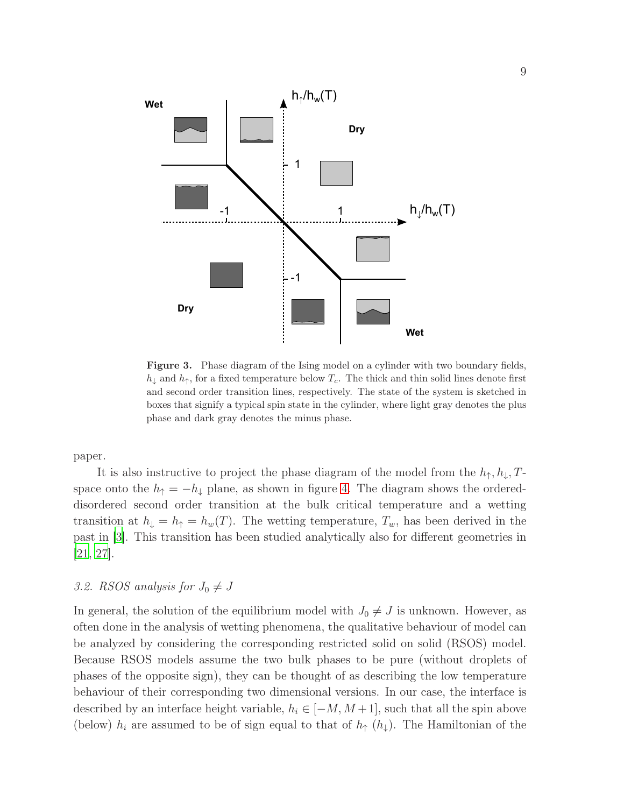

<span id="page-8-1"></span>Figure 3. Phase diagram of the Ising model on a cylinder with two boundary fields,  $h_{\downarrow}$  and  $h_{\uparrow}$ , for a fixed temperature below  $T_c$ . The thick and thin solid lines denote first and second order transition lines, respectively. The state of the system is sketched in boxes that signify a typical spin state in the cylinder, where light gray denotes the plus phase and dark gray denotes the minus phase.

paper.

It is also instructive to project the phase diagram of the model from the  $h_{\uparrow}, h_{\downarrow}, T$ space onto the  $h_{\uparrow} = -h_{\downarrow}$  plane, as shown in figure [4.](#page-9-0) The diagram shows the ordereddisordered second order transition at the bulk critical temperature and a wetting transition at  $h_{\downarrow} = h_{\uparrow} = h_w(T)$ . The wetting temperature,  $T_w$ , has been derived in the past in [\[3\]](#page-26-2). This transition has been studied analytically also for different geometries in [\[21,](#page-27-1) [27\]](#page-28-1).

# <span id="page-8-0"></span>3.2. RSOS analysis for  $J_0 \neq J$

In general, the solution of the equilibrium model with  $J_0 \neq J$  is unknown. However, as often done in the analysis of wetting phenomena, the qualitative behaviour of model can be analyzed by considering the corresponding restricted solid on solid (RSOS) model. Because RSOS models assume the two bulk phases to be pure (without droplets of phases of the opposite sign), they can be thought of as describing the low temperature behaviour of their corresponding two dimensional versions. In our case, the interface is described by an interface height variable,  $h_i \in [-M, M+1]$ , such that all the spin above (below)  $h_i$  are assumed to be of sign equal to that of  $h_{\uparrow}(h_{\downarrow})$ . The Hamiltonian of the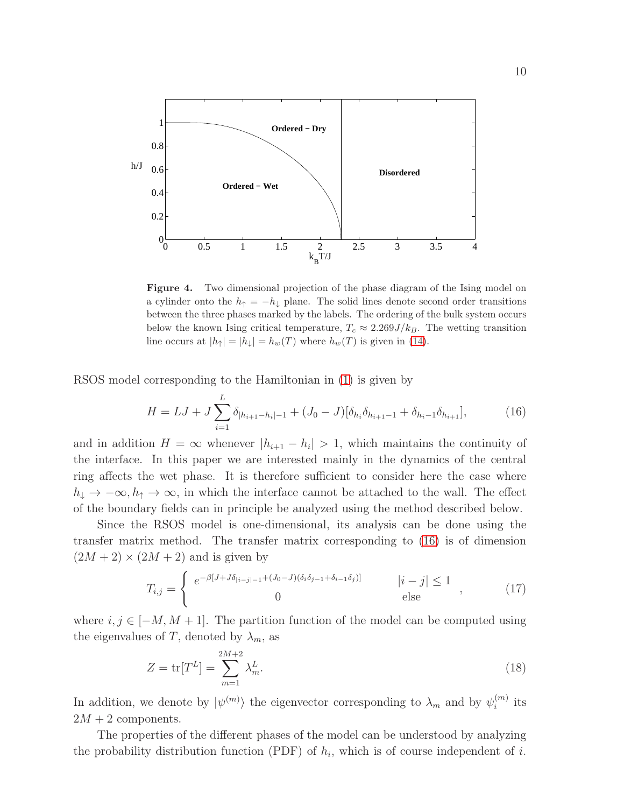

<span id="page-9-0"></span>Figure 4. Two dimensional projection of the phase diagram of the Ising model on a cylinder onto the  $h_{\uparrow} = -h_{\downarrow}$  plane. The solid lines denote second order transitions between the three phases marked by the labels. The ordering of the bulk system occurs below the known Ising critical temperature,  $T_c \approx 2.269 J/k_B$ . The wetting transition line occurs at  $|h_{\uparrow}| = |h_{\downarrow}| = h_w(T)$  where  $h_w(T)$  is given in [\(14\)](#page-6-2).

RSOS model corresponding to the Hamiltonian in [\(1\)](#page-3-1) is given by

<span id="page-9-1"></span>
$$
H = LJ + J\sum_{i=1}^{L} \delta_{|h_{i+1} - h_i| - 1} + (J_0 - J)[\delta_{h_i}\delta_{h_{i+1} - 1} + \delta_{h_i - 1}\delta_{h_{i+1}}],
$$
(16)

and in addition  $H = \infty$  whenever  $|h_{i+1} - h_i| > 1$ , which maintains the continuity of the interface. In this paper we are interested mainly in the dynamics of the central ring affects the wet phase. It is therefore sufficient to consider here the case where  $h_{\downarrow} \to -\infty, h_{\uparrow} \to \infty$ , in which the interface cannot be attached to the wall. The effect of the boundary fields can in principle be analyzed using the method described below.

Since the RSOS model is one-dimensional, its analysis can be done using the transfer matrix method. The transfer matrix corresponding to [\(16\)](#page-9-1) is of dimension  $(2M + 2) \times (2M + 2)$  and is given by

$$
T_{i,j} = \begin{cases} e^{-\beta[J+J\delta_{|i-j|-1} + (J_0-J)(\delta_i\delta_{j-1} + \delta_{i-1}\delta_j)]} & |i-j| \le 1 \\ 0 & \text{else} \end{cases} \tag{17}
$$

where  $i, j \in [-M, M + 1]$ . The partition function of the model can be computed using the eigenvalues of T, denoted by  $\lambda_m$ , as

$$
Z = \text{tr}[T^L] = \sum_{m=1}^{2M+2} \lambda_m^L.
$$
 (18)

In addition, we denote by  $|\psi^{(m)}\rangle$  the eigenvector corresponding to  $\lambda_m$  and by  $\psi_i^{(m)}$  $\binom{m}{i}$  its  $2M + 2$  components.

The properties of the different phases of the model can be understood by analyzing the probability distribution function (PDF) of  $h_i$ , which is of course independent of i.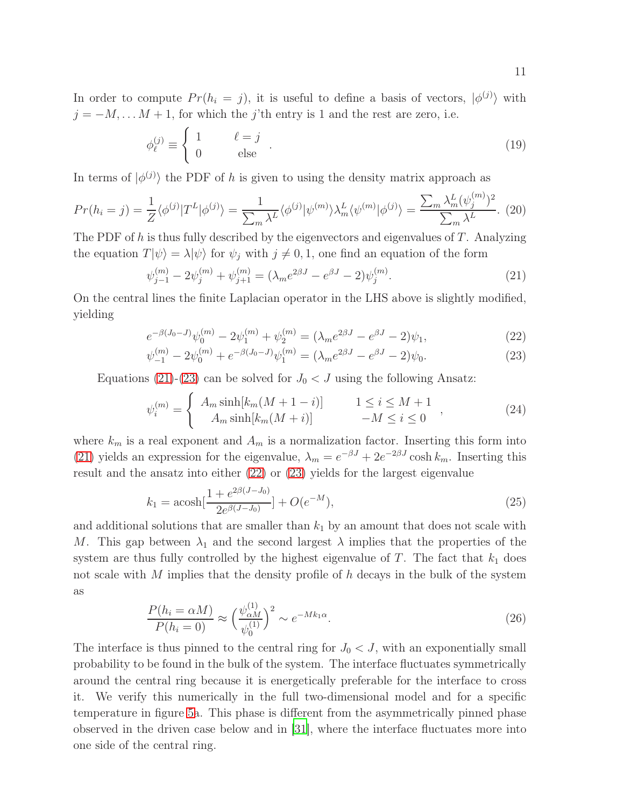In order to compute  $Pr(h_i = j)$ , it is useful to define a basis of vectors,  $|\phi^{(j)}\rangle$  with  $j = -M, \ldots M + 1$ , for which the j'th entry is 1 and the rest are zero, i.e.

$$
\phi_{\ell}^{(j)} \equiv \begin{cases} 1 & \ell = j \\ 0 & \text{else} \end{cases} . \tag{19}
$$

In terms of  $|\phi^{(j)}\rangle$  the PDF of h is given to using the density matrix approach as

$$
Pr(h_i = j) = \frac{1}{Z} \langle \phi^{(j)} | T^L | \phi^{(j)} \rangle = \frac{1}{\sum_m \lambda^L} \langle \phi^{(j)} | \psi^{(m)} \rangle \lambda_m^L \langle \psi^{(m)} | \phi^{(j)} \rangle = \frac{\sum_m \lambda_m^L (\psi_j^{(m)})^2}{\sum_m \lambda^L}.
$$
 (20)

The PDF of h is thus fully described by the eigenvectors and eigenvalues of  $T$ . Analyzing the equation  $T|\psi\rangle = \lambda |\psi\rangle$  for  $\psi_j$  with  $j \neq 0, 1$ , one find an equation of the form

<span id="page-10-2"></span><span id="page-10-0"></span>
$$
\psi_{j-1}^{(m)} - 2\psi_j^{(m)} + \psi_{j+1}^{(m)} = (\lambda_m e^{2\beta J} - e^{\beta J} - 2)\psi_j^{(m)}.
$$
\n(21)

On the central lines the finite Laplacian operator in the LHS above is slightly modified, yielding

<span id="page-10-1"></span>
$$
e^{-\beta(J_0-J)}\psi_0^{(m)} - 2\psi_1^{(m)} + \psi_2^{(m)} = (\lambda_m e^{2\beta J} - e^{\beta J} - 2)\psi_1,\tag{22}
$$

$$
\psi_{-1}^{(m)} - 2\psi_0^{(m)} + e^{-\beta(J_0 - J)}\psi_1^{(m)} = (\lambda_m e^{2\beta J} - e^{\beta J} - 2)\psi_0.
$$
\n(23)

Equations [\(21\)](#page-10-0)-[\(23\)](#page-10-1) can be solved for  $J_0 < J$  using the following Ansatz:

$$
\psi_i^{(m)} = \begin{cases} A_m \sinh[k_m(M+1-i)] & 1 \le i \le M+1 \\ A_m \sinh[k_m(M+i)] & -M \le i \le 0 \end{cases} , \tag{24}
$$

where  $k_m$  is a real exponent and  $A_m$  is a normalization factor. Inserting this form into [\(21\)](#page-10-0) yields an expression for the eigenvalue,  $\lambda_m = e^{-\beta J} + 2e^{-2\beta J} \cosh k_m$ . Inserting this result and the ansatz into either [\(22\)](#page-10-1) or [\(23\)](#page-10-1) yields for the largest eigenvalue

$$
k_1 = \operatorname{acosh}\left[\frac{1 + e^{2\beta(J - J_0)}}{2e^{\beta(J - J_0)}}\right] + O(e^{-M}),\tag{25}
$$

and additional solutions that are smaller than  $k_1$  by an amount that does not scale with M. This gap between  $\lambda_1$  and the second largest  $\lambda$  implies that the properties of the system are thus fully controlled by the highest eigenvalue of T. The fact that  $k_1$  does not scale with M implies that the density profile of h decays in the bulk of the system as

$$
\frac{P(h_i = \alpha M)}{P(h_i = 0)} \approx \left(\frac{\psi_{\alpha M}^{(1)}}{\psi_0^{(1)}}\right)^2 \sim e^{-Mk_1\alpha}.\tag{26}
$$

The interface is thus pinned to the central ring for  $J_0 < J$ , with an exponentially small probability to be found in the bulk of the system. The interface fluctuates symmetrically around the central ring because it is energetically preferable for the interface to cross it. We verify this numerically in the full two-dimensional model and for a specific temperature in figure [5a](#page-11-0). This phase is different from the asymmetrically pinned phase observed in the driven case below and in [\[31\]](#page-28-5), where the interface fluctuates more into one side of the central ring.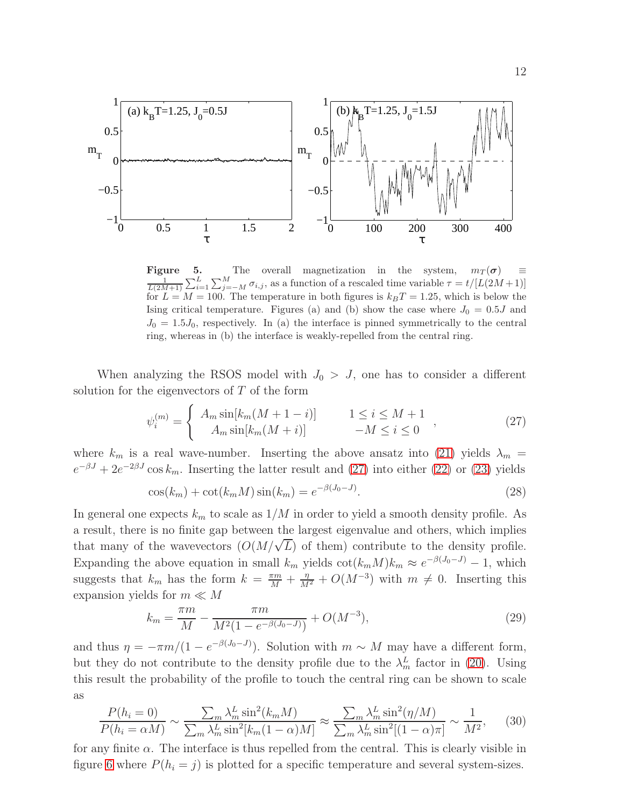

<span id="page-11-0"></span>**Figure 5.** The overall magnetization in the system,  $m_T(\sigma)$   $\equiv$ 1  $\frac{T(2M+1)}{L} \sum_{i=1}^{L} \sum_{j=-M}^{L} \sigma_{i,j}$ , as a function of a research time variable  $T = V[E(2M+1)]$  for  $L = M = 100$ . The temperature in both figures is  $k_B T = 1.25$ , which is below the  $\sum_{i=1}^{L} \sum_{j=-M}^{M} \sigma_{i,j}$ , as a function of a rescaled time variable  $\tau = t/[L(2M+1)]$ Ising critical temperature. Figures (a) and (b) show the case where  $J_0 = 0.5J$  and  $J_0 = 1.5 J_0$ , respectively. In (a) the interface is pinned symmetrically to the central ring, whereas in (b) the interface is weakly-repelled from the central ring.

When analyzing the RSOS model with  $J_0 > J$ , one has to consider a different solution for the eigenvectors of  $T$  of the form

<span id="page-11-1"></span>
$$
\psi_i^{(m)} = \begin{cases} A_m \sin[k_m(M+1-i)] & 1 \le i \le M+1 \\ A_m \sin[k_m(M+i)] & -M \le i \le 0 \end{cases} , \tag{27}
$$

where  $k_m$  is a real wave-number. Inserting the above ansatz into [\(21\)](#page-10-0) yields  $\lambda_m$  =  $e^{-\beta J} + 2e^{-2\beta J}\cos k_m$ . Inserting the latter result and [\(27\)](#page-11-1) into either [\(22\)](#page-10-1) or [\(23\)](#page-10-1) yields

<span id="page-11-2"></span>
$$
\cos(k_m) + \cot(k_m M)\sin(k_m) = e^{-\beta(J_0 - J)}.
$$
\n(28)

In general one expects  $k_m$  to scale as  $1/M$  in order to yield a smooth density profile. As a result, there is no finite gap between the largest eigenvalue and others, which implies that many of the wavevectors  $(O(M/\sqrt{L})$  of them) contribute to the density profile. Expanding the above equation in small  $k_m$  yields  $\cot(k_mM)k_m \approx e^{-\beta(J_0-J)} - 1$ , which suggests that  $k_m$  has the form  $k = \frac{\pi m}{M} + \frac{\eta}{M^2} + O(M^{-3})$  with  $m \neq 0$ . Inserting this expansion yields for  $m \ll M$ 

$$
k_m = \frac{\pi m}{M} - \frac{\pi m}{M^2 (1 - e^{-\beta(J_0 - J)})} + O(M^{-3}),\tag{29}
$$

and thus  $\eta = -\pi m/(1 - e^{-\beta(J_0 - J)})$ . Solution with  $m \sim M$  may have a different form, but they do not contribute to the density profile due to the  $\lambda_m^L$  factor in [\(20\)](#page-10-2). Using this result the probability of the profile to touch the central ring can be shown to scale as

<span id="page-11-3"></span>
$$
\frac{P(h_i = 0)}{P(h_i = \alpha M)} \sim \frac{\sum_m \lambda_m^L \sin^2(k_m M)}{\sum_m \lambda_m^L \sin^2[k_m (1 - \alpha) M]} \approx \frac{\sum_m \lambda_m^L \sin^2(\eta/M)}{\sum_m \lambda_m^L \sin^2[(1 - \alpha)\pi]} \sim \frac{1}{M^2},\tag{30}
$$

for any finite  $\alpha$ . The interface is thus repelled from the central. This is clearly visible in figure [6](#page-12-2) where  $P(h_i = j)$  is plotted for a specific temperature and several system-sizes.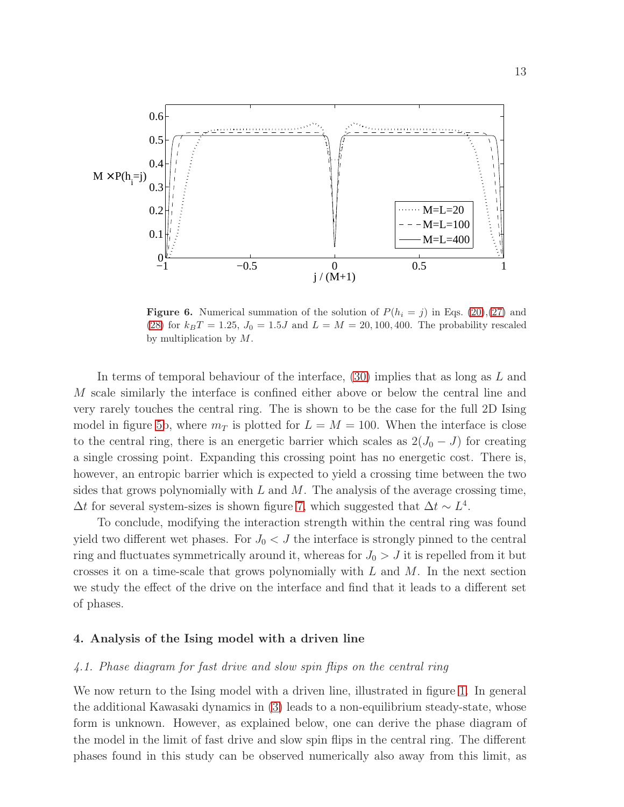

<span id="page-12-2"></span>**Figure 6.** Numerical summation of the solution of  $P(h_i = j)$  in Eqs. [\(20\)](#page-10-2),[\(27\)](#page-11-1) and [\(28\)](#page-11-2) for  $k_BT = 1.25$ ,  $J_0 = 1.5J$  and  $L = M = 20, 100, 400$ . The probability rescaled by multiplication by M.

In terms of temporal behaviour of the interface, [\(30\)](#page-11-3) implies that as long as L and M scale similarly the interface is confined either above or below the central line and very rarely touches the central ring. The is shown to be the case for the full 2D Ising model in figure [5b](#page-11-0), where  $m<sub>T</sub>$  is plotted for  $L = M = 100$ . When the interface is close to the central ring, there is an energetic barrier which scales as  $2(J_0-J)$  for creating a single crossing point. Expanding this crossing point has no energetic cost. There is, however, an entropic barrier which is expected to yield a crossing time between the two sides that grows polynomially with  $L$  and  $M$ . The analysis of the average crossing time,  $\Delta t$  for several system-sizes is shown figure [7,](#page-13-0) which suggested that  $\Delta t \sim L^4$ .

To conclude, modifying the interaction strength within the central ring was found yield two different wet phases. For  $J_0 < J$  the interface is strongly pinned to the central ring and fluctuates symmetrically around it, whereas for  $J_0 > J$  it is repelled from it but crosses it on a time-scale that grows polynomially with  $L$  and  $M$ . In the next section we study the effect of the drive on the interface and find that it leads to a different set of phases.

### <span id="page-12-1"></span><span id="page-12-0"></span>4. Analysis of the Ising model with a driven line

### 4.1. Phase diagram for fast drive and slow spin flips on the central ring

We now return to the Ising model with a driven line, illustrated in figure [1.](#page-4-1) In general the additional Kawasaki dynamics in [\(3\)](#page-4-3) leads to a non-equilibrium steady-state, whose form is unknown. However, as explained below, one can derive the phase diagram of the model in the limit of fast drive and slow spin flips in the central ring. The different phases found in this study can be observed numerically also away from this limit, as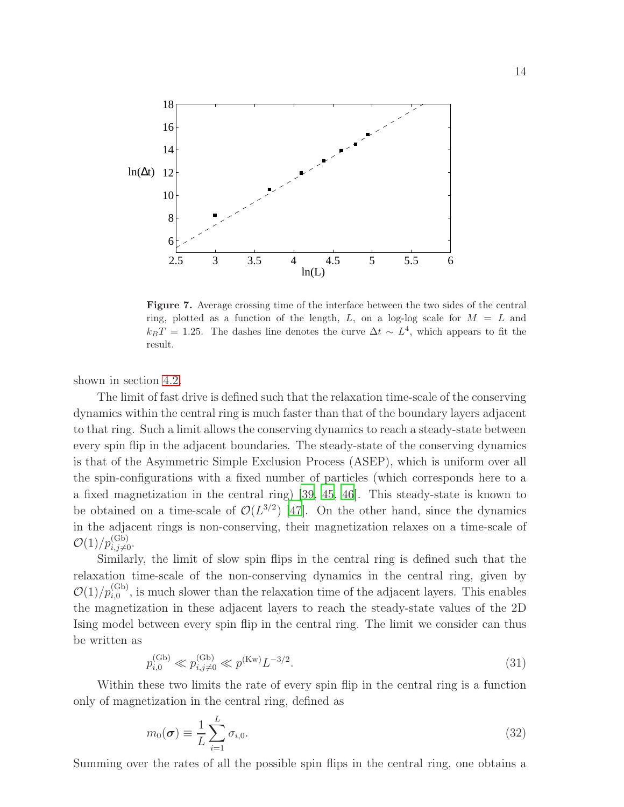

<span id="page-13-0"></span>Figure 7. Average crossing time of the interface between the two sides of the central ring, plotted as a function of the length,  $L$ , on a log-log scale for  $M = L$  and  $k_B T = 1.25$ . The dashes line denotes the curve  $\Delta t \sim L^4$ , which appears to fit the result.

shown in section [4.2.](#page-17-0)

The limit of fast drive is defined such that the relaxation time-scale of the conserving dynamics within the central ring is much faster than that of the boundary layers adjacent to that ring. Such a limit allows the conserving dynamics to reach a steady-state between every spin flip in the adjacent boundaries. The steady-state of the conserving dynamics is that of the Asymmetric Simple Exclusion Process (ASEP), which is uniform over all the spin-configurations with a fixed number of particles (which corresponds here to a a fixed magnetization in the central ring) [\[39](#page-28-8), [45,](#page-29-2) [46\]](#page-29-3). This steady-state is known to be obtained on a time-scale of  $\mathcal{O}(L^{3/2})$  [\[47](#page-29-4)]. On the other hand, since the dynamics in the adjacent rings is non-conserving, their magnetization relaxes on a time-scale of  $\mathcal{O}(1)/p_{i,j\neq0}^{(\mathrm{Gb})}$ .

Similarly, the limit of slow spin flips in the central ring is defined such that the relaxation time-scale of the non-conserving dynamics in the central ring, given by  $\mathcal{O}(1)/p_{i,0}^{(Gb)}$ , is much slower than the relaxation time of the adjacent layers. This enables the magnetization in these adjacent layers to reach the steady-state values of the 2D Ising model between every spin flip in the central ring. The limit we consider can thus be written as

$$
p_{i,0}^{(\text{Gb})} \ll p_{i,j \neq 0}^{(\text{Gb})} \ll p^{(\text{Kw})} L^{-3/2}.
$$
\n(31)

Within these two limits the rate of every spin flip in the central ring is a function only of magnetization in the central ring, defined as

$$
m_0(\boldsymbol{\sigma}) \equiv \frac{1}{L} \sum_{i=1}^{L} \sigma_{i,0}.
$$
\n(32)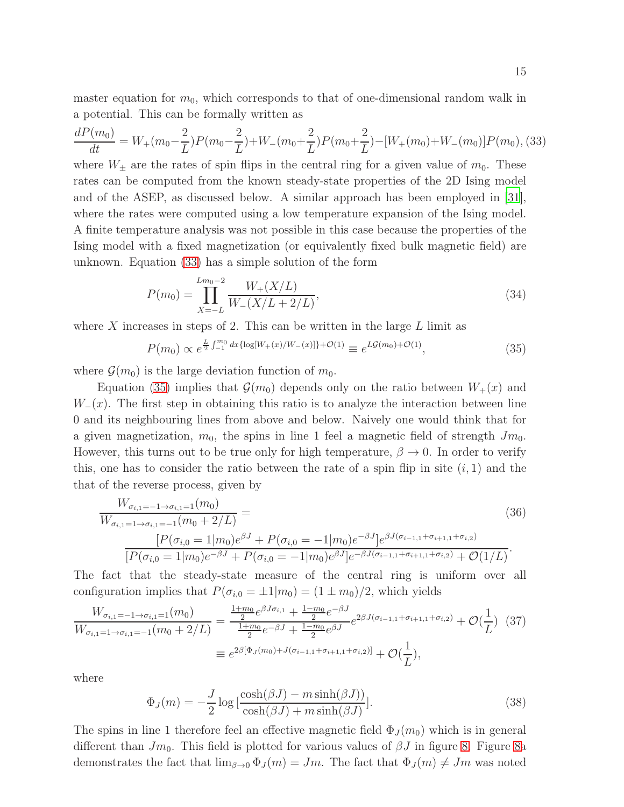master equation for  $m_0$ , which corresponds to that of one-dimensional random walk in a potential. This can be formally written as

<span id="page-14-0"></span>
$$
\frac{dP(m_0)}{dt} = W_+(m_0 - \frac{2}{L})P(m_0 - \frac{2}{L}) + W_-(m_0 + \frac{2}{L})P(m_0 + \frac{2}{L}) - [W_+(m_0) + W_-(m_0)]P(m_0),
$$
(33)

where  $W_{\pm}$  are the rates of spin flips in the central ring for a given value of  $m_0$ . These rates can be computed from the known steady-state properties of the 2D Ising model and of the ASEP, as discussed below. A similar approach has been employed in [\[31](#page-28-5)], where the rates were computed using a low temperature expansion of the Ising model. A finite temperature analysis was not possible in this case because the properties of the Ising model with a fixed magnetization (or equivalently fixed bulk magnetic field) are unknown. Equation [\(33\)](#page-14-0) has a simple solution of the form

$$
P(m_0) = \prod_{X=-L}^{L m_0 - 2} \frac{W_+(X/L)}{W_-(X/L + 2/L)},
$$
\n(34)

where X increases in steps of 2. This can be written in the large  $L$  limit as

<span id="page-14-1"></span>
$$
P(m_0) \propto e^{\frac{L}{2} \int_{-1}^{m_0} dx \{ \log[W_+(x)/W_-(x)] \} + \mathcal{O}(1)} \equiv e^{L\mathcal{G}(m_0) + \mathcal{O}(1)},\tag{35}
$$

where  $\mathcal{G}(m_0)$  is the large deviation function of  $m_0$ .

Equation [\(35\)](#page-14-1) implies that  $\mathcal{G}(m_0)$  depends only on the ratio between  $W_+(x)$  and  $W_-(x)$ . The first step in obtaining this ratio is to analyze the interaction between line 0 and its neighbouring lines from above and below. Naively one would think that for a given magnetization,  $m_0$ , the spins in line 1 feel a magnetic field of strength  $Jm_0$ . However, this turns out to be true only for high temperature,  $\beta \to 0$ . In order to verify this, one has to consider the ratio between the rate of a spin flip in site  $(i, 1)$  and the that of the reverse process, given by

$$
\frac{W_{\sigma_{i,1}=-1 \to \sigma_{i,1}=1}(m_0)}{W_{\sigma_{i,1}=1 \to \sigma_{i,1}=-1}(m_0 + 2/L)} =
$$
\n
$$
\frac{[P(\sigma_{i,0}=1|m_0)e^{\beta J} + P(\sigma_{i,0}=-1|m_0)e^{-\beta J}]e^{\beta J(\sigma_{i-1,1}+\sigma_{i+1,1}+\sigma_{i,2})}}{[P(\sigma_{i,0}=1|m_0)e^{-\beta J} + P(\sigma_{i,0}=-1|m_0)e^{\beta J}]e^{-\beta J(\sigma_{i-1,1}+\sigma_{i+1,1}+\sigma_{i,2})} + \mathcal{O}(1/L)}.
$$
\n(36)

The fact that the steady-state measure of the central ring is uniform over all configuration implies that  $P(\sigma_{i,0} = \pm 1 | m_0) = (1 \pm m_0)/2$ , which yields

<span id="page-14-2"></span>
$$
\frac{W_{\sigma_{i,1}=-1 \to \sigma_{i,1}=1}(m_0)}{W_{\sigma_{i,1}=1 \to \sigma_{i,1}=-1}(m_0 + 2/L)} = \frac{\frac{1+m_0}{2} e^{\beta J \sigma_{i,1}} + \frac{1-m_0}{2} e^{-\beta J}}{\frac{1+m_0}{2} e^{-\beta J} + \frac{1-m_0}{2} e^{\beta J}} e^{2\beta J (\sigma_{i-1,1} + \sigma_{i+1,1} + \sigma_{i,2})} + \mathcal{O}(\frac{1}{L}) \tag{37}
$$

$$
\equiv e^{2\beta [\Phi_J(m_0) + J(\sigma_{i-1,1} + \sigma_{i+1,1} + \sigma_{i,2})]} + \mathcal{O}(\frac{1}{L}),
$$

where

$$
\Phi_J(m) = -\frac{J}{2} \log \left[ \frac{\cosh(\beta J) - m \sinh(\beta J))}{\cosh(\beta J) + m \sinh(\beta J)} \right].
$$
\n(38)

The spins in line 1 therefore feel an effective magnetic field  $\Phi_J(m_0)$  which is in general different than  $Jm_0$ . This field is plotted for various values of  $\beta J$  in figure [8.](#page-15-0) Figure [8a](#page-15-0) demonstrates the fact that  $\lim_{\beta\to 0} \Phi_J(m) = Jm$ . The fact that  $\Phi_J(m) \neq Jm$  was noted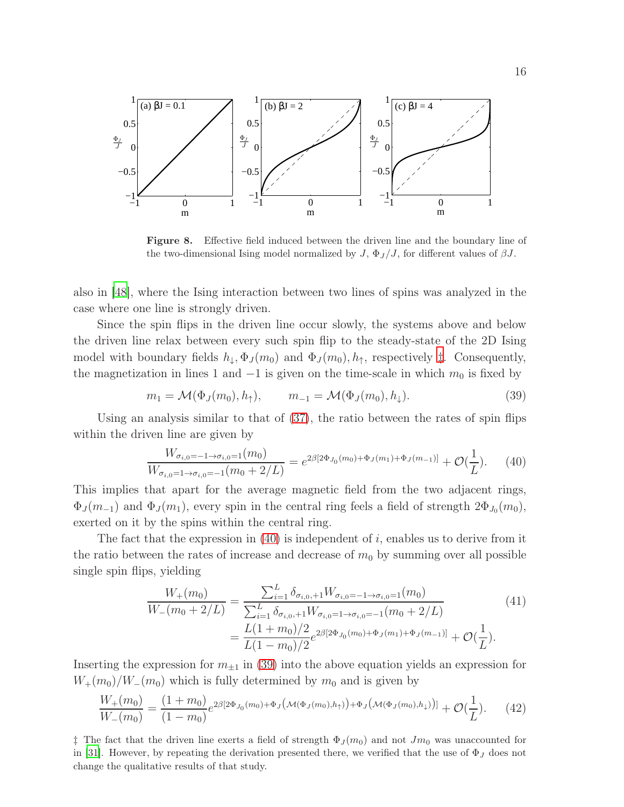

<span id="page-15-0"></span>Figure 8. Effective field induced between the driven line and the boundary line of the two-dimensional Ising model normalized by  $J$ ,  $\Phi_J/J$ , for different values of  $\beta J$ .

also in [\[48\]](#page-29-5), where the Ising interaction between two lines of spins was analyzed in the case where one line is strongly driven.

Since the spin flips in the driven line occur slowly, the systems above and below the driven line relax between every such spin flip to the steady-state of the 2D Ising model with boundary fields  $h_{\downarrow}, \Phi_J(m_0)$  and  $\Phi_J(m_0), h_{\uparrow}$ , respectively  $\ddagger$ . Consequently, the magnetization in lines 1 and  $-1$  is given on the time-scale in which  $m_0$  is fixed by

<span id="page-15-3"></span>
$$
m_1 = \mathcal{M}(\Phi_J(m_0), h_\uparrow), \qquad m_{-1} = \mathcal{M}(\Phi_J(m_0), h_\downarrow). \tag{39}
$$

Using an analysis similar to that of [\(37\)](#page-14-2), the ratio between the rates of spin flips within the driven line are given by

<span id="page-15-2"></span>
$$
\frac{W_{\sigma_{i,0}=-1 \to \sigma_{i,0}=1}(m_0)}{W_{\sigma_{i,0}=-1 \to \sigma_{i,0}=-1}(m_0 + 2/L)} = e^{2\beta [2\Phi_{J_0}(m_0) + \Phi_J(m_1) + \Phi_J(m_{-1})]} + \mathcal{O}(\frac{1}{L}).\tag{40}
$$

This implies that apart for the average magnetic field from the two adjacent rings,  $\Phi_J(m_{-1})$  and  $\Phi_J(m_1)$ , every spin in the central ring feels a field of strength  $2\Phi_{J_0}(m_0)$ , exerted on it by the spins within the central ring.

The fact that the expression in  $(40)$  is independent of i, enables us to derive from it the ratio between the rates of increase and decrease of  $m_0$  by summing over all possible single spin flips, yielding

$$
\frac{W_{+}(m_{0})}{W_{-}(m_{0}+2/L)} = \frac{\sum_{i=1}^{L} \delta_{\sigma_{i,0},+1} W_{\sigma_{i,0}=-1 \to \sigma_{i,0}=1}(m_{0})}{\sum_{i=1}^{L} \delta_{\sigma_{i,0},+1} W_{\sigma_{i,0}=1 \to \sigma_{i,0}=-1}(m_{0}+2/L)} = \frac{L(1+m_{0})/2}{L(1-m_{0})/2} e^{2\beta[2\Phi_{J_{0}}(m_{0})+\Phi_{J}(m_{1})+\Phi_{J}(m_{-1})]} + \mathcal{O}(\frac{1}{L}).
$$
\n(41)

Inserting the expression for  $m_{\pm 1}$  in [\(39\)](#page-15-3) into the above equation yields an expression for  $W_+(m_0)/W_-(m_0)$  which is fully determined by  $m_0$  and is given by

$$
\frac{W_{+}(m_{0})}{W_{-}(m_{0})} = \frac{(1+m_{0})}{(1-m_{0})}e^{2\beta[2\Phi_{J_{0}}(m_{0})+\Phi_{J}(\mathcal{M}(\Phi_{J}(m_{0}),h_{\uparrow}))+\Phi_{J}(\mathcal{M}(\Phi_{J}(m_{0}),h_{\downarrow}))]} + \mathcal{O}(\frac{1}{L}).
$$
 (42)

<span id="page-15-1"></span><sup>†</sup> The fact that the driven line exerts a field of strength  $\Phi_J(m_0)$  and not  $Jm_0$  was unaccounted for in [\[31\]](#page-28-5). However, by repeating the derivation presented there, we verified that the use of  $\Phi_J$  does not change the qualitative results of that study.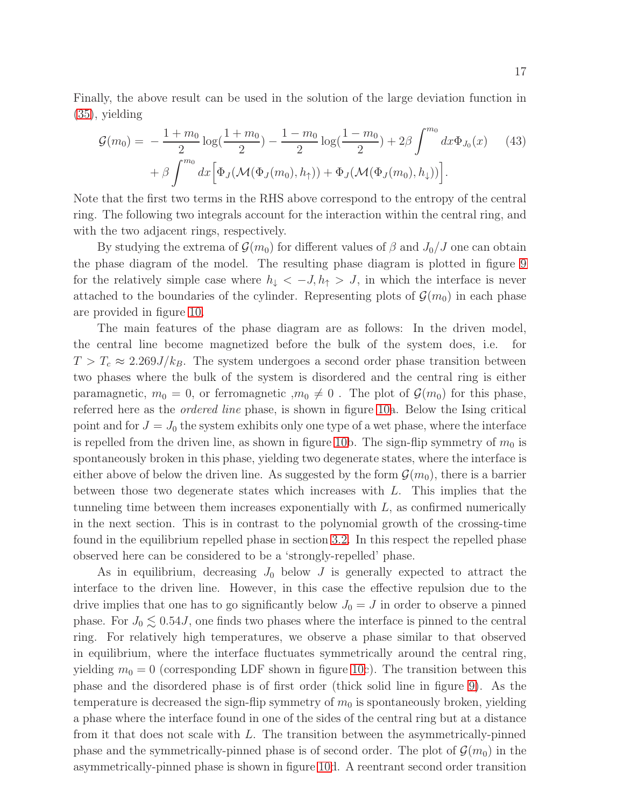Finally, the above result can be used in the solution of the large deviation function in [\(35\)](#page-14-1), yielding

$$
\mathcal{G}(m_0) = -\frac{1 + m_0}{2} \log(\frac{1 + m_0}{2}) - \frac{1 - m_0}{2} \log(\frac{1 - m_0}{2}) + 2\beta \int^{m_0} dx \Phi_{J_0}(x) \tag{43}
$$

$$
+ \beta \int^{m_0} dx \Big[ \Phi_J(\mathcal{M}(\Phi_J(m_0), h_1)) + \Phi_J(\mathcal{M}(\Phi_J(m_0), h_1)) \Big].
$$

Note that the first two terms in the RHS above correspond to the entropy of the central ring. The following two integrals account for the interaction within the central ring, and with the two adjacent rings, respectively.

By studying the extrema of  $\mathcal{G}(m_0)$  for different values of  $\beta$  and  $J_0/J$  one can obtain the phase diagram of the model. The resulting phase diagram is plotted in figure [9](#page-17-1) for the relatively simple case where  $h_{\downarrow} < -J, h_{\uparrow} > J$ , in which the interface is never attached to the boundaries of the cylinder. Representing plots of  $\mathcal{G}(m_0)$  in each phase are provided in figure [10.](#page-18-0)

The main features of the phase diagram are as follows: In the driven model, the central line become magnetized before the bulk of the system does, i.e. for  $T > T_c \approx 2.269J/k_B$ . The system undergoes a second order phase transition between two phases where the bulk of the system is disordered and the central ring is either paramagnetic,  $m_0 = 0$ , or ferromagnetic  $,m_0 \neq 0$ . The plot of  $\mathcal{G}(m_0)$  for this phase, referred here as the ordered line phase, is shown in figure [10a](#page-18-0). Below the Ising critical point and for  $J = J_0$  the system exhibits only one type of a wet phase, where the interface is repelled from the driven line, as shown in figure [10b](#page-18-0). The sign-flip symmetry of  $m_0$  is spontaneously broken in this phase, yielding two degenerate states, where the interface is either above of below the driven line. As suggested by the form  $\mathcal{G}(m_0)$ , there is a barrier between those two degenerate states which increases with  $L$ . This implies that the tunneling time between them increases exponentially with  $L$ , as confirmed numerically in the next section. This is in contrast to the polynomial growth of the crossing-time found in the equilibrium repelled phase in section [3.2.](#page-8-0) In this respect the repelled phase observed here can be considered to be a 'strongly-repelled' phase.

As in equilibrium, decreasing  $J_0$  below  $J$  is generally expected to attract the interface to the driven line. However, in this case the effective repulsion due to the drive implies that one has to go significantly below  $J_0 = J$  in order to observe a pinned phase. For  $J_0 \lesssim 0.54J$ , one finds two phases where the interface is pinned to the central ring. For relatively high temperatures, we observe a phase similar to that observed in equilibrium, where the interface fluctuates symmetrically around the central ring, yielding  $m_0 = 0$  (corresponding LDF shown in figure [10c](#page-18-0)). The transition between this phase and the disordered phase is of first order (thick solid line in figure [9\)](#page-17-1). As the temperature is decreased the sign-flip symmetry of  $m_0$  is spontaneously broken, yielding a phase where the interface found in one of the sides of the central ring but at a distance from it that does not scale with  $L$ . The transition between the asymmetrically-pinned phase and the symmetrically-pinned phase is of second order. The plot of  $\mathcal{G}(m_0)$  in the asymmetrically-pinned phase is shown in figure [10d](#page-18-0). A reentrant second order transition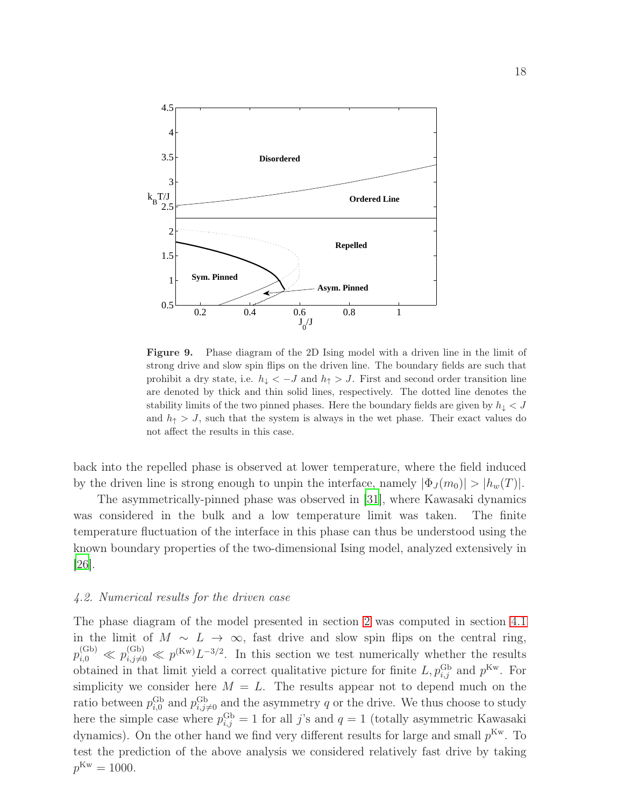

<span id="page-17-1"></span>Figure 9. Phase diagram of the 2D Ising model with a driven line in the limit of strong drive and slow spin flips on the driven line. The boundary fields are such that prohibit a dry state, i.e.  $h_{\downarrow} < -J$  and  $h_{\uparrow} > J$ . First and second order transition line are denoted by thick and thin solid lines, respectively. The dotted line denotes the stability limits of the two pinned phases. Here the boundary fields are given by  $h_{\downarrow} < J$ and  $h_{\uparrow} > J$ , such that the system is always in the wet phase. Their exact values do not affect the results in this case.

back into the repelled phase is observed at lower temperature, where the field induced by the driven line is strong enough to unpin the interface, namely  $|\Phi_J(m_0)| > |h_w(T)|$ .

The asymmetrically-pinned phase was observed in [\[31\]](#page-28-5), where Kawasaki dynamics was considered in the bulk and a low temperature limit was taken. The finite temperature fluctuation of the interface in this phase can thus be understood using the known boundary properties of the two-dimensional Ising model, analyzed extensively in [\[26\]](#page-28-0).

### <span id="page-17-0"></span>4.2. Numerical results for the driven case

The phase diagram of the model presented in section [2](#page-3-0) was computed in section [4.1](#page-12-0) in the limit of  $M \sim L \to \infty$ , fast drive and slow spin flips on the central ring,  $p_{i,0}^{(\text{Gb})} \ll p_{i,j\neq 0}^{(\text{Gb})} \ll p^{(\text{Kw})} L^{-3/2}$ . In this section we test numerically whether the results obtained in that limit yield a correct qualitative picture for finite  $L, p_{i,j}^{\text{Gb}}$  and  $p^{\text{Kw}}$ . For simplicity we consider here  $M = L$ . The results appear not to depend much on the ratio between  $p_{i,0}^{\text{Gb}}$  and  $p_{i,j\neq 0}^{\text{Gb}}$  and the asymmetry q or the drive. We thus choose to study here the simple case where  $p_{i,j}^{\text{Gb}} = 1$  for all j's and  $q = 1$  (totally asymmetric Kawasaki dynamics). On the other hand we find very different results for large and small  $p^{Kw}$ . To test the prediction of the above analysis we considered relatively fast drive by taking  $p^{\text{Kw}} = 1000.$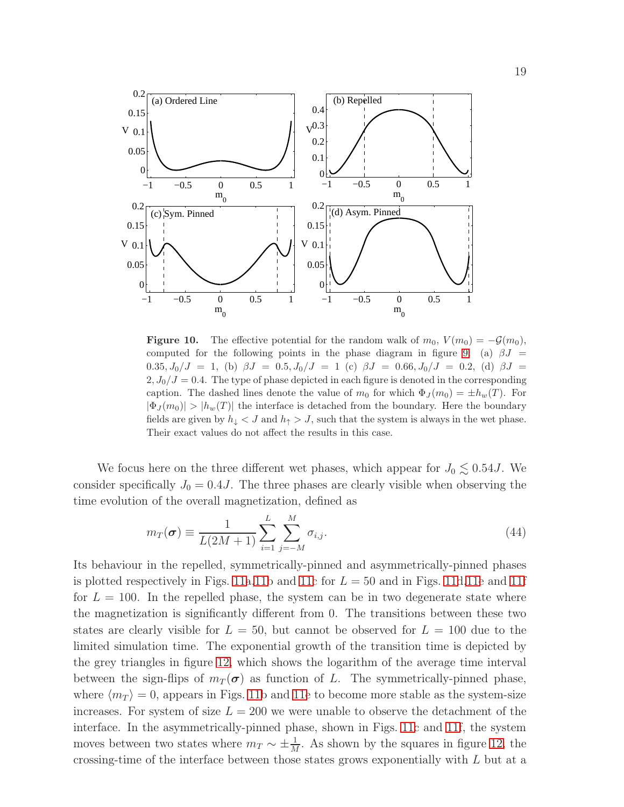

<span id="page-18-0"></span>**Figure 10.** The effective potential for the random walk of  $m_0$ ,  $V(m_0) = -\mathcal{G}(m_0)$ , computed for the following points in the phase diagram in figure [9:](#page-17-1) (a)  $\beta J =$  $0.35, J_0/J = 1$ , (b)  $\beta J = 0.5, J_0/J = 1$  (c)  $\beta J = 0.66, J_0/J = 0.2$ , (d)  $\beta J = 0.35, J_0/J = 1$  $2, J_0/J = 0.4$ . The type of phase depicted in each figure is denoted in the corresponding caption. The dashed lines denote the value of  $m_0$  for which  $\Phi_J(m_0) = \pm h_w(T)$ . For  $|\Phi_J(m_0)| > |h_w(T)|$  the interface is detached from the boundary. Here the boundary fields are given by  $h_{\downarrow} < J$  and  $h_{\uparrow} > J$ , such that the system is always in the wet phase. Their exact values do not affect the results in this case.

We focus here on the three different wet phases, which appear for  $J_0 \lesssim 0.54J$ . We consider specifically  $J_0 = 0.4J$ . The three phases are clearly visible when observing the time evolution of the overall magnetization, defined as

$$
m_T(\sigma) \equiv \frac{1}{L(2M+1)} \sum_{i=1}^{L} \sum_{j=-M}^{M} \sigma_{i,j}.
$$
\n(44)

Its behaviour in the repelled, symmetrically-pinned and asymmetrically-pinned phases is plotted respectively in Figs. [11a,11b](#page-19-0) and [11c](#page-19-0) for  $L = 50$  and in Figs. [11d,11e](#page-19-0) and [11f](#page-19-0) for  $L = 100$ . In the repelled phase, the system can be in two degenerate state where the magnetization is significantly different from 0. The transitions between these two states are clearly visible for  $L = 50$ , but cannot be observed for  $L = 100$  due to the limited simulation time. The exponential growth of the transition time is depicted by the grey triangles in figure [12,](#page-19-1) which shows the logarithm of the average time interval between the sign-flips of  $m_T(\sigma)$  as function of L. The symmetrically-pinned phase, where  $\langle m_T \rangle = 0$ , appears in Figs. [11b](#page-19-0) and [11e](#page-19-0) to become more stable as the system-size increases. For system of size  $L = 200$  we were unable to observe the detachment of the interface. In the asymmetrically-pinned phase, shown in Figs. [11c](#page-19-0) and [11f](#page-19-0), the system moves between two states where  $m_T \sim \pm \frac{1}{M}$ . As shown by the squares in figure [12,](#page-19-1) the crossing-time of the interface between those states grows exponentially with L but at a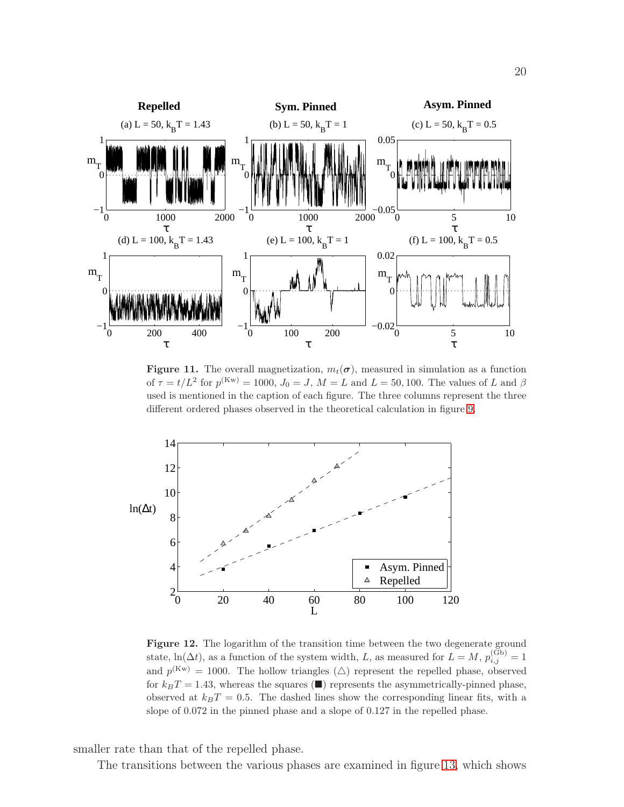

<span id="page-19-0"></span>Figure 11. The overall magnetization,  $m_t(\sigma)$ , measured in simulation as a function of  $\tau = t/L^2$  for  $p^{(Kw)} = 1000$ ,  $J_0 = J$ ,  $M = L$  and  $L = 50, 100$ . The values of L and  $\beta$ used is mentioned in the caption of each figure. The three columns represent the three different ordered phases observed in the theoretical calculation in figure [9.](#page-17-1)



<span id="page-19-1"></span>Figure 12. The logarithm of the transition time between the two degenerate ground state,  $\ln(\Delta t)$ , as a function of the system width, L, as measured for  $L = M$ ,  $p_{i,j}^{(\text{Gb})} = 1$ and  $p^{(Kw)} = 1000$ . The hollow triangles  $(\triangle)$  represent the repelled phase, observed for  $k_BT = 1.43$ , whereas the squares ( $\blacksquare$ ) represents the asymmetrically-pinned phase, observed at  $k_BT = 0.5$ . The dashed lines show the corresponding linear fits, with a slope of 0.072 in the pinned phase and a slope of 0.127 in the repelled phase.

smaller rate than that of the repelled phase.

The transitions between the various phases are examined in figure [13,](#page-20-0) which shows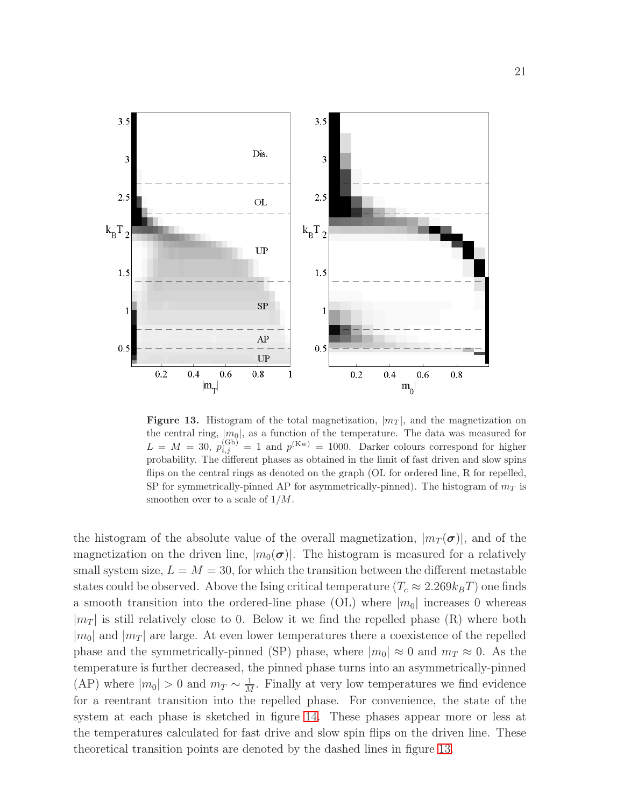

<span id="page-20-0"></span>Figure 13. Histogram of the total magnetization,  $|m_T|$ , and the magnetization on the central ring,  $|m_0|$ , as a function of the temperature. The data was measured for  $L = M = 30, p_{i,j}^{(\text{Gb})} = 1$  and  $p^{(\text{Kw})} = 1000$ . Darker colours correspond for higher probability. The different phases as obtained in the limit of fast driven and slow spins flips on the central rings as denoted on the graph (OL for ordered line, R for repelled, SP for symmetrically-pinned AP for asymmetrically-pinned). The histogram of  $m<sub>T</sub>$  is smoothen over to a scale of 1/M.

the histogram of the absolute value of the overall magnetization,  $|m_T(\sigma)|$ , and of the magnetization on the driven line,  $|m_0(\sigma)|$ . The histogram is measured for a relatively small system size,  $L = M = 30$ , for which the transition between the different metastable states could be observed. Above the Ising critical temperature  $(T_c \approx 2.269 k_B T)$  one finds a smooth transition into the ordered-line phase (OL) where  $|m_0|$  increases 0 whereas  $|m_T|$  is still relatively close to 0. Below it we find the repelled phase (R) where both  $|m_0|$  and  $|m_T|$  are large. At even lower temperatures there a coexistence of the repelled phase and the symmetrically-pinned (SP) phase, where  $|m_0| \approx 0$  and  $m_T \approx 0$ . As the temperature is further decreased, the pinned phase turns into an asymmetrically-pinned (AP) where  $|m_0| > 0$  and  $m_T \sim \frac{1}{M}$  $\frac{1}{M}$ . Finally at very low temperatures we find evidence for a reentrant transition into the repelled phase. For convenience, the state of the system at each phase is sketched in figure [14.](#page-21-1) These phases appear more or less at the temperatures calculated for fast drive and slow spin flips on the driven line. These theoretical transition points are denoted by the dashed lines in figure [13.](#page-20-0)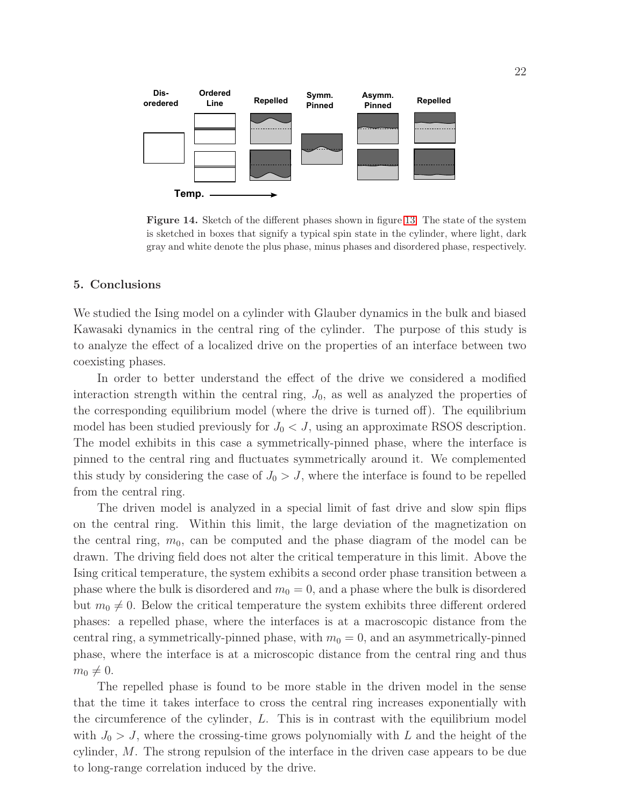

<span id="page-21-1"></span>Figure 14. Sketch of the different phases shown in figure [13.](#page-20-0) The state of the system is sketched in boxes that signify a typical spin state in the cylinder, where light, dark gray and white denote the plus phase, minus phases and disordered phase, respectively.

### <span id="page-21-0"></span>5. Conclusions

We studied the Ising model on a cylinder with Glauber dynamics in the bulk and biased Kawasaki dynamics in the central ring of the cylinder. The purpose of this study is to analyze the effect of a localized drive on the properties of an interface between two coexisting phases.

In order to better understand the effect of the drive we considered a modified interaction strength within the central ring,  $J_0$ , as well as analyzed the properties of the corresponding equilibrium model (where the drive is turned off). The equilibrium model has been studied previously for  $J_0 < J$ , using an approximate RSOS description. The model exhibits in this case a symmetrically-pinned phase, where the interface is pinned to the central ring and fluctuates symmetrically around it. We complemented this study by considering the case of  $J_0 > J$ , where the interface is found to be repelled from the central ring.

The driven model is analyzed in a special limit of fast drive and slow spin flips on the central ring. Within this limit, the large deviation of the magnetization on the central ring,  $m_0$ , can be computed and the phase diagram of the model can be drawn. The driving field does not alter the critical temperature in this limit. Above the Ising critical temperature, the system exhibits a second order phase transition between a phase where the bulk is disordered and  $m_0 = 0$ , and a phase where the bulk is disordered but  $m_0 \neq 0$ . Below the critical temperature the system exhibits three different ordered phases: a repelled phase, where the interfaces is at a macroscopic distance from the central ring, a symmetrically-pinned phase, with  $m_0 = 0$ , and an asymmetrically-pinned phase, where the interface is at a microscopic distance from the central ring and thus  $m_0 \neq 0.$ 

The repelled phase is found to be more stable in the driven model in the sense that the time it takes interface to cross the central ring increases exponentially with the circumference of the cylinder,  $L$ . This is in contrast with the equilibrium model with  $J_0 > J$ , where the crossing-time grows polynomially with L and the height of the cylinder, M. The strong repulsion of the interface in the driven case appears to be due to long-range correlation induced by the drive.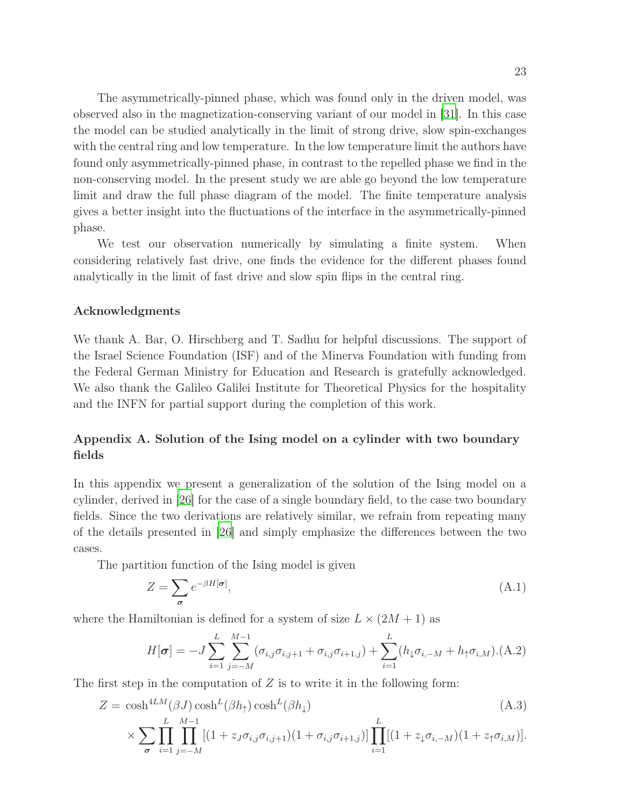The asymmetrically-pinned phase, which was found only in the driven model, was observed also in the magnetization-conserving variant of our model in [\[31\]](#page-28-5). In this case the model can be studied analytically in the limit of strong drive, slow spin-exchanges with the central ring and low temperature. In the low temperature limit the authors have found only asymmetrically-pinned phase, in contrast to the repelled phase we find in the non-conserving model. In the present study we are able go beyond the low temperature limit and draw the full phase diagram of the model. The finite temperature analysis gives a better insight into the fluctuations of the interface in the asymmetrically-pinned phase.

We test our observation numerically by simulating a finite system. When considering relatively fast drive, one finds the evidence for the different phases found analytically in the limit of fast drive and slow spin flips in the central ring.

### Acknowledgments

We thank A. Bar, O. Hirschberg and T. Sadhu for helpful discussions. The support of the Israel Science Foundation (ISF) and of the Minerva Foundation with funding from the Federal German Ministry for Education and Research is gratefully acknowledged. We also thank the Galileo Galilei Institute for Theoretical Physics for the hospitality and the INFN for partial support during the completion of this work.

# <span id="page-22-0"></span>Appendix A. Solution of the Ising model on a cylinder with two boundary fields

In this appendix we present a generalization of the solution of the Ising model on a cylinder, derived in [\[26\]](#page-28-0) for the case of a single boundary field, to the case two boundary fields. Since the two derivations are relatively similar, we refrain from repeating many of the details presented in [\[26](#page-28-0)] and simply emphasize the differences between the two cases.

The partition function of the Ising model is given

$$
Z = \sum_{\sigma} e^{-\beta H[\sigma]},\tag{A.1}
$$

where the Hamiltonian is defined for a system of size  $L \times (2M + 1)$  as

$$
H[\boldsymbol{\sigma}] = -J \sum_{i=1}^{L} \sum_{j=-M}^{M-1} (\sigma_{i,j} \sigma_{i,j+1} + \sigma_{i,j} \sigma_{i+1,j}) + \sum_{i=1}^{L} (h_{\downarrow} \sigma_{i,-M} + h_{\uparrow} \sigma_{i,M}).
$$
 (A.2)

The first step in the computation of  $Z$  is to write it in the following form:

<span id="page-22-1"></span>
$$
Z = \cosh^{4LM}(\beta J) \cosh^L(\beta h_{\uparrow}) \cosh^L(\beta h_{\downarrow})
$$
\n
$$
\times \sum_{\sigma} \prod_{i=1}^L \prod_{j=-M}^{M-1} [(1 + z_j \sigma_{i,j} \sigma_{i,j+1}) (1 + \sigma_{i,j} \sigma_{i+1,j})] \prod_{i=1}^L [(1 + z_j \sigma_{i,-M}) (1 + z_j \sigma_{i,M})].
$$
\n(A.3)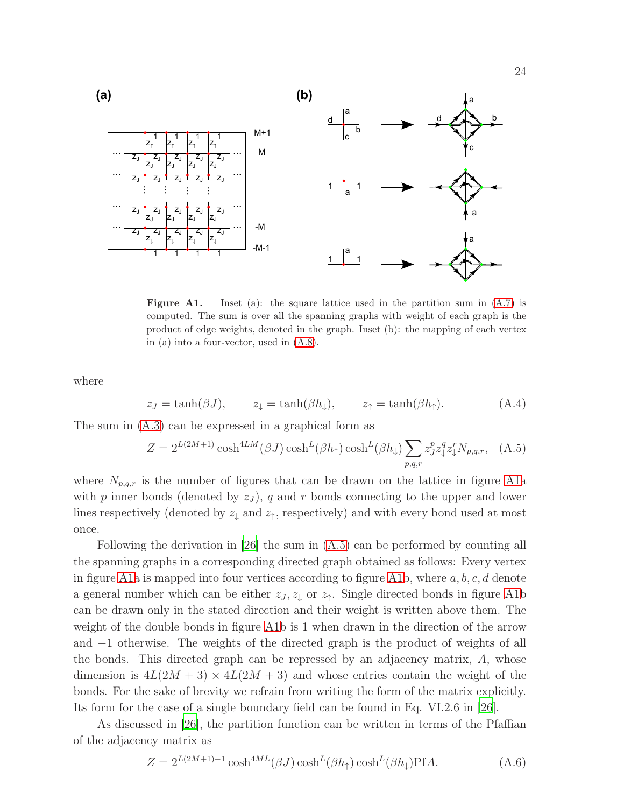

<span id="page-23-0"></span>**Figure A1.** Inset (a): the square lattice used in the partition sum in  $(A.7)$  is computed. The sum is over all the spanning graphs with weight of each graph is the product of edge weights, denoted in the graph. Inset (b): the mapping of each vertex in (a) into a four-vector, used in [\(A.8\)](#page-24-1).

where

$$
z_J = \tanh(\beta J),
$$
  $z_{\downarrow} = \tanh(\beta h_{\downarrow}),$   $z_{\uparrow} = \tanh(\beta h_{\uparrow}).$  (A.4)

The sum in [\(A.3\)](#page-22-1) can be expressed in a graphical form as

<span id="page-23-1"></span>
$$
Z = 2^{L(2M+1)} \cosh^{4LM}(\beta J) \cosh^L(\beta h_{\uparrow}) \cosh^L(\beta h_{\downarrow}) \sum_{p,q,r} z_j^p z_{\downarrow}^q z_{\downarrow}^r N_{p,q,r}, \quad (A.5)
$$

where  $N_{p,q,r}$  is the number of figures that can be drawn on the lattice in figure [A1a](#page-23-0) with p inner bonds (denoted by  $z_j$ ), q and r bonds connecting to the upper and lower lines respectively (denoted by  $z_{\downarrow}$  and  $z_{\uparrow}$ , respectively) and with every bond used at most once.

Following the derivation in [\[26](#page-28-0)] the sum in [\(A.5\)](#page-23-1) can be performed by counting all the spanning graphs in a corresponding directed graph obtained as follows: Every vertex in figure [A1a](#page-23-0) is mapped into four vertices according to figure [A1b](#page-23-0), where  $a, b, c, d$  denote a general number which can be either  $z_J, z_\downarrow$  or  $z_\uparrow$ . Single directed bonds in figure [A1b](#page-23-0) can be drawn only in the stated direction and their weight is written above them. The weight of the double bonds in figure [A1b](#page-23-0) is 1 when drawn in the direction of the arrow and −1 otherwise. The weights of the directed graph is the product of weights of all the bonds. This directed graph can be repressed by an adjacency matrix, A, whose dimension is  $4L(2M+3) \times 4L(2M+3)$  and whose entries contain the weight of the bonds. For the sake of brevity we refrain from writing the form of the matrix explicitly. Its form for the case of a single boundary field can be found in Eq. VI.2.6 in [\[26\]](#page-28-0).

As discussed in [\[26\]](#page-28-0), the partition function can be written in terms of the Pfaffian of the adjacency matrix as

$$
Z = 2^{L(2M+1)-1} \cosh^{4ML}(\beta J) \cosh^L(\beta h_{\uparrow}) \cosh^L(\beta h_{\downarrow}) \text{Pf}A. \tag{A.6}
$$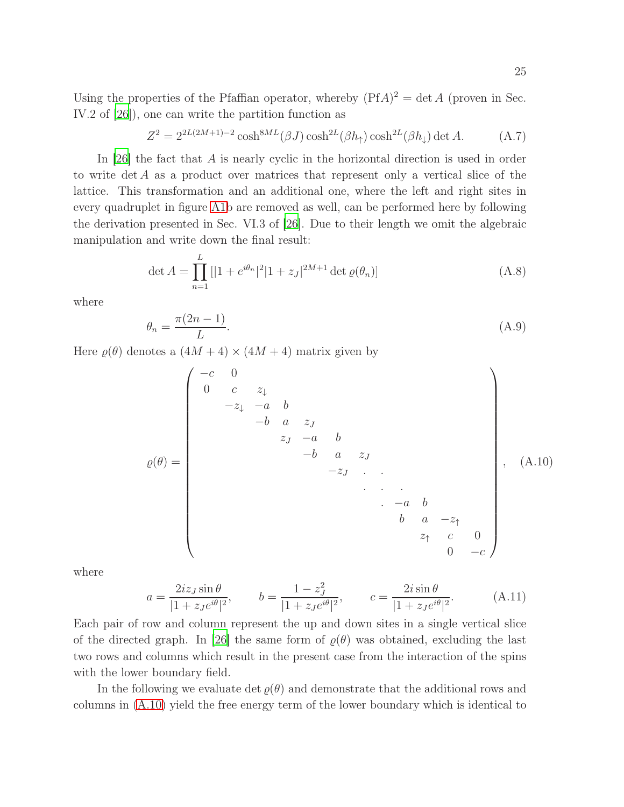Using the properties of the Pfaffian operator, whereby  $(PfA)^2 = \det A$  (proven in Sec. IV.2 of [\[26](#page-28-0)]), one can write the partition function as

<span id="page-24-0"></span>
$$
Z^2 = 2^{2L(2M+1)-2} \cosh^{8ML}(\beta J) \cosh^{2L}(\beta h_{\uparrow}) \cosh^{2L}(\beta h_{\downarrow}) \det A. \tag{A.7}
$$

In [\[26\]](#page-28-0) the fact that A is nearly cyclic in the horizontal direction is used in order to write  $\det A$  as a product over matrices that represent only a vertical slice of the lattice. This transformation and an additional one, where the left and right sites in every quadruplet in figure [A1b](#page-23-0) are removed as well, can be performed here by following the derivation presented in Sec. VI.3 of [\[26\]](#page-28-0). Due to their length we omit the algebraic manipulation and write down the final result:

<span id="page-24-1"></span>
$$
\det A = \prod_{n=1}^{L} \left[ |1 + e^{i\theta_n}|^2 |1 + z_J|^{2M+1} \det \varrho(\theta_n) \right]
$$
(A.8)

where

$$
\theta_n = \frac{\pi (2n - 1)}{L}.\tag{A.9}
$$

Here  $\rho(\theta)$  denotes a  $(4M + 4) \times (4M + 4)$  matrix given by

<span id="page-24-2"></span>̺(θ) = −c 0 0 c z<sup>↓</sup> −z<sup>↓</sup> −a b −b a z<sup>J</sup> z<sup>J</sup> −a b −b a z<sup>J</sup> −z<sup>J</sup> . . . . . . −a b b a −z<sup>↑</sup> z<sup>↑</sup> c 0 0 −c , (A.10)

where

$$
a = \frac{2iz_J \sin \theta}{|1 + z_J e^{i\theta}|^2}, \qquad b = \frac{1 - z_J^2}{|1 + z_J e^{i\theta}|^2}, \qquad c = \frac{2i \sin \theta}{|1 + z_J e^{i\theta}|^2}.
$$
 (A.11)

Each pair of row and column represent the up and down sites in a single vertical slice of the directed graph. In [\[26\]](#page-28-0) the same form of  $\rho(\theta)$  was obtained, excluding the last two rows and columns which result in the present case from the interaction of the spins with the lower boundary field.

In the following we evaluate det  $\varrho(\theta)$  and demonstrate that the additional rows and columns in [\(A.10\)](#page-24-2) yield the free energy term of the lower boundary which is identical to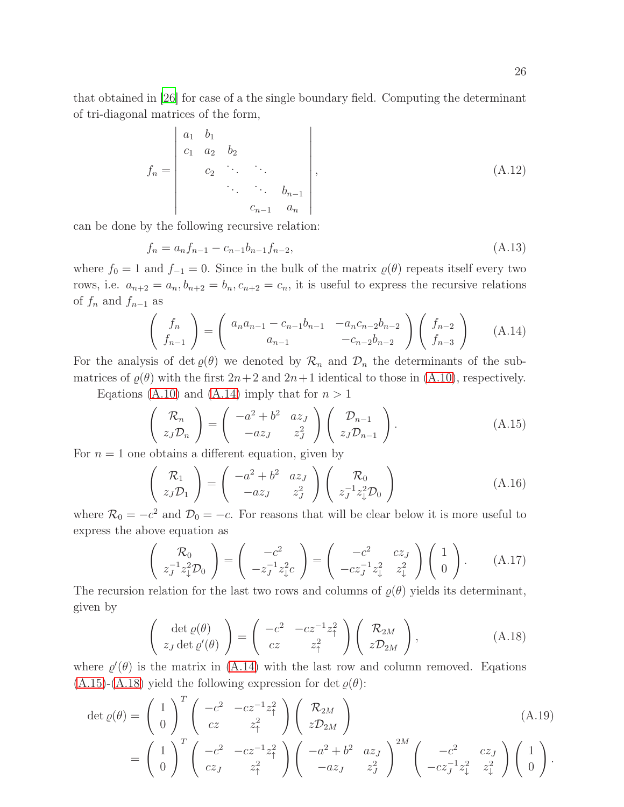that obtained in [\[26](#page-28-0)] for case of a the single boundary field. Computing the determinant of tri-diagonal matrices of the form,

$$
f_n = \begin{vmatrix} a_1 & b_1 \\ c_1 & a_2 & b_2 \\ & c_2 & \cdots & \ddots \\ & & \ddots & \ddots & b_{n-1} \\ & & & c_{n-1} & a_n \end{vmatrix},
$$
 (A.12)

can be done by the following recursive relation:

$$
f_n = a_n f_{n-1} - c_{n-1} b_{n-1} f_{n-2}, \tag{A.13}
$$

where  $f_0 = 1$  and  $f_{-1} = 0$ . Since in the bulk of the matrix  $\varrho(\theta)$  repeats itself every two rows, i.e.  $a_{n+2} = a_n, b_{n+2} = b_n, c_{n+2} = c_n$ , it is useful to express the recursive relations of  $f_n$  and  $f_{n-1}$  as

<span id="page-25-0"></span>
$$
\begin{pmatrix} f_n \\ f_{n-1} \end{pmatrix} = \begin{pmatrix} a_n a_{n-1} - c_{n-1} b_{n-1} & -a_n c_{n-2} b_{n-2} \\ a_{n-1} & -c_{n-2} b_{n-2} \end{pmatrix} \begin{pmatrix} f_{n-2} \\ f_{n-3} \end{pmatrix}
$$
 (A.14)

For the analysis of det  $\varrho(\theta)$  we denoted by  $\mathcal{R}_n$  and  $\mathcal{D}_n$  the determinants of the submatrices of  $\rho(\theta)$  with the first  $2n+2$  and  $2n+1$  identical to those in [\(A.10\)](#page-24-2), respectively.

Eqations [\(A.10\)](#page-24-2) and [\(A.14\)](#page-25-0) imply that for  $n > 1$ 

<span id="page-25-1"></span>
$$
\begin{pmatrix} \mathcal{R}_n \\ z_J \mathcal{D}_n \end{pmatrix} = \begin{pmatrix} -a^2 + b^2 & a z_J \\ -a z_J & z_J^2 \end{pmatrix} \begin{pmatrix} \mathcal{D}_{n-1} \\ z_J \mathcal{D}_{n-1} \end{pmatrix}.
$$
 (A.15)

For  $n = 1$  one obtains a different equation, given by

$$
\begin{pmatrix} \mathcal{R}_1 \\ z_J \mathcal{D}_1 \end{pmatrix} = \begin{pmatrix} -a^2 + b^2 & a z_J \\ -a z_J & z_J^2 \end{pmatrix} \begin{pmatrix} \mathcal{R}_0 \\ z_J^{-1} z_\downarrow^2 \mathcal{D}_0 \end{pmatrix}
$$
 (A.16)

where  $\mathcal{R}_0 = -c^2$  and  $\mathcal{D}_0 = -c$ . For reasons that will be clear below it is more useful to express the above equation as

$$
\begin{pmatrix} R_0 \\ z_J^{-1} z_\downarrow^2 \mathcal{D}_0 \end{pmatrix} = \begin{pmatrix} -c^2 \\ -z_J^{-1} z_\downarrow^2 c \end{pmatrix} = \begin{pmatrix} -c^2 & cz_J \\ -cz_J^{-1} z_\downarrow^2 & z_\downarrow^2 \end{pmatrix} \begin{pmatrix} 1 \\ 0 \end{pmatrix}.
$$
 (A.17)

The recursion relation for the last two rows and columns of  $\varrho(\theta)$  yields its determinant, given by

<span id="page-25-2"></span>
$$
\begin{pmatrix} \det \varrho(\theta) \\ z_J \det \varrho'(\theta) \end{pmatrix} = \begin{pmatrix} -c^2 & -cz^{-1}z_\uparrow^2 \\ cz & z_\uparrow^2 \end{pmatrix} \begin{pmatrix} \mathcal{R}_{2M} \\ z\mathcal{D}_{2M} \end{pmatrix},
$$
(A.18)

where  $\varrho'(\theta)$  is the matrix in [\(A.14\)](#page-25-0) with the last row and column removed. Eqations  $(A.15)$ - $(A.18)$  yield the following expression for det  $\varrho(\theta)$ :

$$
\det \varrho(\theta) = \begin{pmatrix} 1 \\ 0 \end{pmatrix}^T \begin{pmatrix} -c^2 & -cz^{-1}z_{\uparrow}^2 \\ cz & z_{\uparrow}^2 \end{pmatrix} \begin{pmatrix} \mathcal{R}_{2M} \\ z\mathcal{D}_{2M} \end{pmatrix}
$$
\n
$$
= \begin{pmatrix} 1 \\ 0 \end{pmatrix}^T \begin{pmatrix} -c^2 & -cz^{-1}z_{\uparrow}^2 \\ cz_J & z_{\uparrow}^2 \end{pmatrix} \begin{pmatrix} -a^2 + b^2 & az_J \\ -az_J & z_J^2 \end{pmatrix}^{2M} \begin{pmatrix} -c^2 & cz_J \\ -cz_J^{-1}z_{\downarrow}^2 & z_{\downarrow}^2 \end{pmatrix} \begin{pmatrix} 1 \\ 0 \end{pmatrix}.
$$
\n(A.19)

.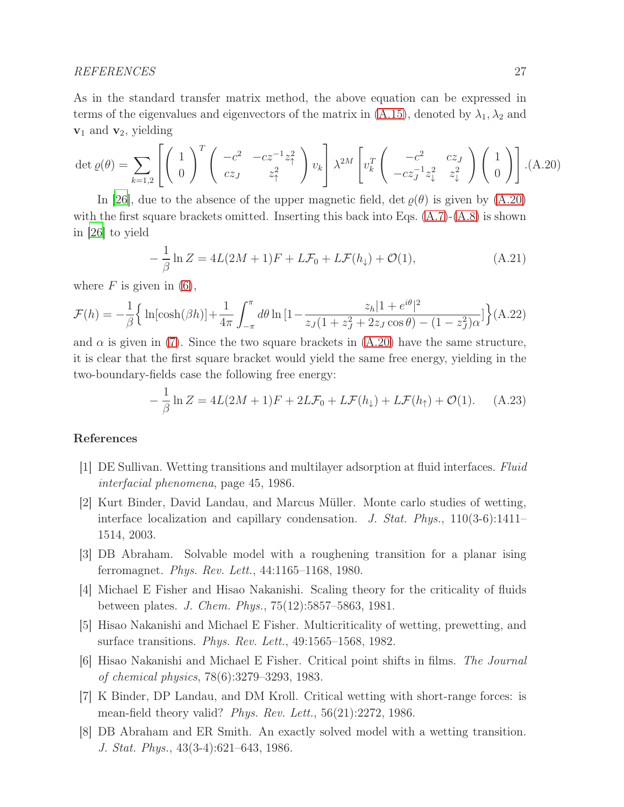### REFERENCES 27

As in the standard transfer matrix method, the above equation can be expressed in terms of the eigenvalues and eigenvectors of the matrix in [\(A.15\)](#page-25-1), denoted by  $\lambda_1, \lambda_2$  and  $\mathbf{v}_1$  and  $\mathbf{v}_2$ , yielding

<span id="page-26-3"></span>
$$
\det \varrho(\theta) = \sum_{k=1,2} \left[ \left( \begin{array}{c} 1 \\ 0 \end{array} \right)^T \left( \begin{array}{cc} -c^2 & -cz^{-1}z_1^2 \\ cz_J & z_1^2 \end{array} \right) v_k \right] \lambda^{2M} \left[ v_k^T \left( \begin{array}{cc} -c^2 & cz_J \\ -cz_J^{-1}z_\downarrow^2 & z_\downarrow^2 \end{array} \right) \left( \begin{array}{c} 1 \\ 0 \end{array} \right) \right].
$$
 (A.20)

In [\[26](#page-28-0)], due to the absence of the upper magnetic field,  $\det \varrho(\theta)$  is given by  $(A.20)$ with the first square brackets omitted. Inserting this back into Eqs.  $(A.7)-(A.8)$  $(A.7)-(A.8)$  is shown in [\[26\]](#page-28-0) to yield

$$
-\frac{1}{\beta}\ln Z = 4L(2M+1)F + L\mathcal{F}_0 + L\mathcal{F}(h_\downarrow) + \mathcal{O}(1),\tag{A.21}
$$

where  $F$  is given in [\(6\)](#page-5-2),

$$
\mathcal{F}(h) = -\frac{1}{\beta} \Big\{ \ln[\cosh(\beta h)] + \frac{1}{4\pi} \int_{-\pi}^{\pi} d\theta \ln\left[1 - \frac{z_h |1 + e^{i\theta}|^2}{z_J(1 + z_J^2 + 2z_J \cos \theta) - (1 - z_J^2)\alpha}\right] \Big\} (A.22)
$$

and  $\alpha$  is given in [\(7\)](#page-5-3). Since the two square brackets in [\(A.20\)](#page-26-3) have the same structure, it is clear that the first square bracket would yield the same free energy, yielding in the two-boundary-fields case the following free energy:

$$
-\frac{1}{\beta}\ln Z = 4L(2M+1)F + 2L\mathcal{F}_0 + L\mathcal{F}(h_\downarrow) + L\mathcal{F}(h_\uparrow) + \mathcal{O}(1). \tag{A.23}
$$

### References

- <span id="page-26-0"></span>[1] DE Sullivan. Wetting transitions and multilayer adsorption at fluid interfaces. Fluid interfacial phenomena, page 45, 1986.
- <span id="page-26-1"></span>[2] Kurt Binder, David Landau, and Marcus Müller. Monte carlo studies of wetting, interface localization and capillary condensation. J. Stat. Phys., 110(3-6):1411– 1514, 2003.
- <span id="page-26-2"></span>[3] DB Abraham. Solvable model with a roughening transition for a planar ising ferromagnet. Phys. Rev. Lett., 44:1165–1168, 1980.
- [4] Michael E Fisher and Hisao Nakanishi. Scaling theory for the criticality of fluids between plates. J. Chem. Phys., 75(12):5857–5863, 1981.
- [5] Hisao Nakanishi and Michael E Fisher. Multicriticality of wetting, prewetting, and surface transitions. *Phys. Rev. Lett.*,  $49:1565-1568$ ,  $1982$ .
- [6] Hisao Nakanishi and Michael E Fisher. Critical point shifts in films. The Journal of chemical physics, 78(6):3279–3293, 1983.
- [7] K Binder, DP Landau, and DM Kroll. Critical wetting with short-range forces: is mean-field theory valid? Phys. Rev. Lett.,  $56(21):2272$ , 1986.
- [8] DB Abraham and ER Smith. An exactly solved model with a wetting transition. J. Stat. Phys., 43(3-4):621–643, 1986.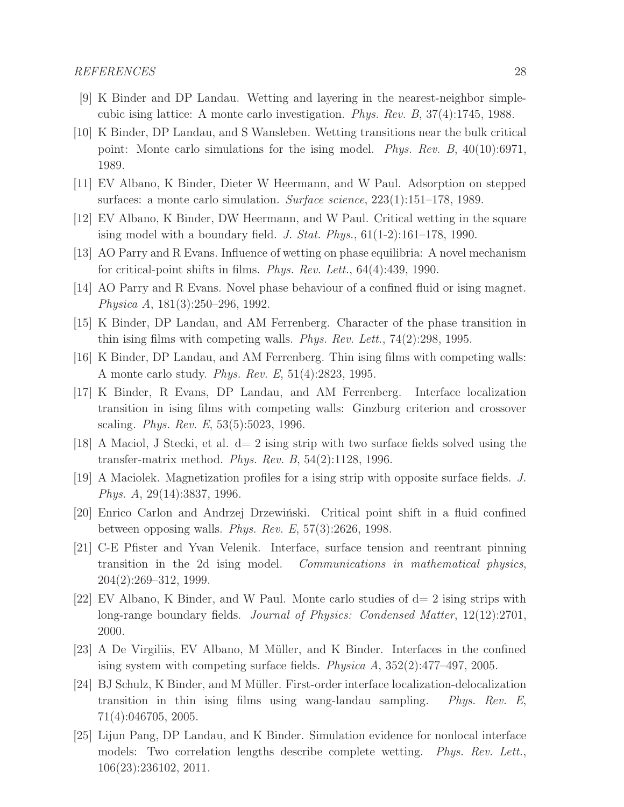- [9] K Binder and DP Landau. Wetting and layering in the nearest-neighbor simplecubic ising lattice: A monte carlo investigation. Phys. Rev. B, 37(4):1745, 1988.
- [10] K Binder, DP Landau, and S Wansleben. Wetting transitions near the bulk critical point: Monte carlo simulations for the ising model. Phys. Rev. B, 40(10):6971, 1989.
- [11] EV Albano, K Binder, Dieter W Heermann, and W Paul. Adsorption on stepped surfaces: a monte carlo simulation. Surface science,  $223(1):151-178$ , 1989.
- [12] EV Albano, K Binder, DW Heermann, and W Paul. Critical wetting in the square ising model with a boundary field. J. Stat. Phys.,  $61(1-2):161-178$ , 1990.
- [13] AO Parry and R Evans. Influence of wetting on phase equilibria: A novel mechanism for critical-point shifts in films. Phys. Rev. Lett., 64(4):439, 1990.
- [14] AO Parry and R Evans. Novel phase behaviour of a confined fluid or ising magnet. Physica A, 181(3):250–296, 1992.
- [15] K Binder, DP Landau, and AM Ferrenberg. Character of the phase transition in thin ising films with competing walls. Phys. Rev. Lett., 74(2):298, 1995.
- [16] K Binder, DP Landau, and AM Ferrenberg. Thin ising films with competing walls: A monte carlo study. Phys. Rev. E, 51(4):2823, 1995.
- [17] K Binder, R Evans, DP Landau, and AM Ferrenberg. Interface localization transition in ising films with competing walls: Ginzburg criterion and crossover scaling. *Phys. Rev. E*, 53(5):5023, 1996.
- [18] A Maciol, J Stecki, et al. d= 2 ising strip with two surface fields solved using the transfer-matrix method. Phys. Rev. B, 54(2):1128, 1996.
- [19] A Maciolek. Magnetization profiles for a ising strip with opposite surface fields. J. Phys. A, 29(14):3837, 1996.
- [20] Enrico Carlon and Andrzej Drzewiński. Critical point shift in a fluid confined between opposing walls. *Phys. Rev. E*,  $57(3):2626$ , 1998.
- <span id="page-27-1"></span>[21] C-E Pfister and Yvan Velenik. Interface, surface tension and reentrant pinning transition in the 2d ising model. Communications in mathematical physics, 204(2):269–312, 1999.
- [22] EV Albano, K Binder, and W Paul. Monte carlo studies of d= 2 ising strips with long-range boundary fields. *Journal of Physics: Condensed Matter*, 12(12):2701, 2000.
- [23] A De Virgiliis, EV Albano, M Müller, and K Binder. Interfaces in the confined ising system with competing surface fields. Physica A, 352(2):477–497, 2005.
- [24] BJ Schulz, K Binder, and M Müller. First-order interface localization-delocalization transition in thin ising films using wang-landau sampling. Phys. Rev. E, 71(4):046705, 2005.
- <span id="page-27-0"></span>[25] Lijun Pang, DP Landau, and K Binder. Simulation evidence for nonlocal interface models: Two correlation lengths describe complete wetting. *Phys. Rev. Lett.*, 106(23):236102, 2011.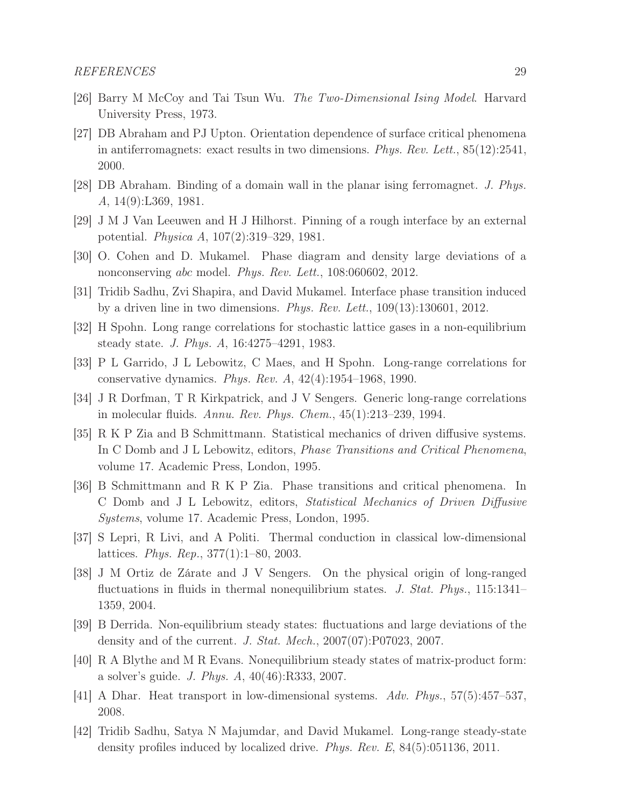- <span id="page-28-0"></span>[26] Barry M McCoy and Tai Tsun Wu. The Two-Dimensional Ising Model. Harvard University Press, 1973.
- <span id="page-28-1"></span>[27] DB Abraham and PJ Upton. Orientation dependence of surface critical phenomena in antiferromagnets: exact results in two dimensions. Phys. Rev. Lett.,  $85(12):2541$ , 2000.
- <span id="page-28-2"></span>[28] DB Abraham. Binding of a domain wall in the planar ising ferromagnet. J. Phys. A, 14(9):L369, 1981.
- <span id="page-28-3"></span>[29] J M J Van Leeuwen and H J Hilhorst. Pinning of a rough interface by an external potential. Physica A, 107(2):319–329, 1981.
- <span id="page-28-4"></span>[30] O. Cohen and D. Mukamel. Phase diagram and density large deviations of a nonconserving abc model. Phys. Rev. Lett., 108:060602, 2012.
- <span id="page-28-5"></span>[31] Tridib Sadhu, Zvi Shapira, and David Mukamel. Interface phase transition induced by a driven line in two dimensions. Phys. Rev. Lett.,  $109(13):130601$ ,  $2012$ .
- <span id="page-28-6"></span>[32] H Spohn. Long range correlations for stochastic lattice gases in a non-equilibrium steady state. J. Phys. A, 16:4275–4291, 1983.
- [33] P L Garrido, J L Lebowitz, C Maes, and H Spohn. Long-range correlations for conservative dynamics. Phys. Rev. A, 42(4):1954–1968, 1990.
- [34] J R Dorfman, T R Kirkpatrick, and J V Sengers. Generic long-range correlations in molecular fluids. Annu. Rev. Phys. Chem., 45(1):213–239, 1994.
- [35] R K P Zia and B Schmittmann. Statistical mechanics of driven diffusive systems. In C Domb and J L Lebowitz, editors, Phase Transitions and Critical Phenomena, volume 17. Academic Press, London, 1995.
- [36] B Schmittmann and R K P Zia. Phase transitions and critical phenomena. In C Domb and J L Lebowitz, editors, Statistical Mechanics of Driven Diffusive Systems, volume 17. Academic Press, London, 1995.
- [37] S Lepri, R Livi, and A Politi. Thermal conduction in classical low-dimensional lattices. Phys. Rep., 377(1):1–80, 2003.
- [38] J M Ortiz de Zárate and J V Sengers. On the physical origin of long-ranged fluctuations in fluids in thermal nonequilibrium states. J. Stat. Phys., 115:1341– 1359, 2004.
- <span id="page-28-8"></span>[39] B Derrida. Non-equilibrium steady states: fluctuations and large deviations of the density and of the current. J. Stat. Mech., 2007(07):P07023, 2007.
- [40] R A Blythe and M R Evans. Nonequilibrium steady states of matrix-product form: a solver's guide. J. Phys. A, 40(46):R333, 2007.
- [41] A Dhar. Heat transport in low-dimensional systems. Adv. Phys., 57(5):457–537, 2008.
- <span id="page-28-7"></span>[42] Tridib Sadhu, Satya N Majumdar, and David Mukamel. Long-range steady-state density profiles induced by localized drive. Phys. Rev. E, 84(5):051136, 2011.